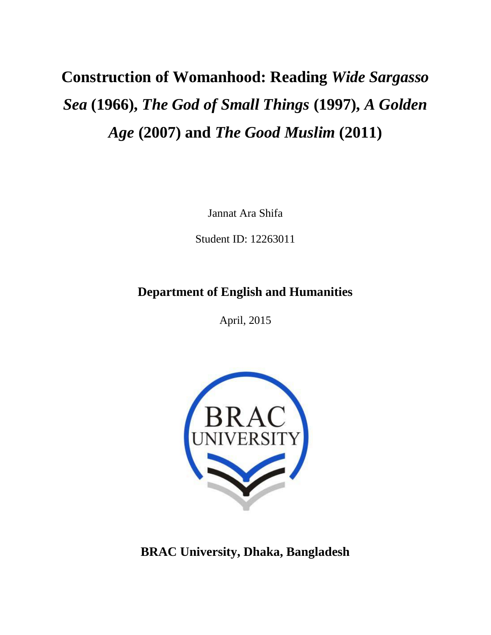# **Construction of Womanhood: Reading** *Wide Sargasso Sea* **(1966),** *The God of Small Things* **(1997),** *A Golden Age* **(2007) and** *The Good Muslim* **(2011)**

Jannat Ara Shifa

Student ID: 12263011

### **Department of English and Humanities**

April, 2015



**BRAC University, Dhaka, Bangladesh**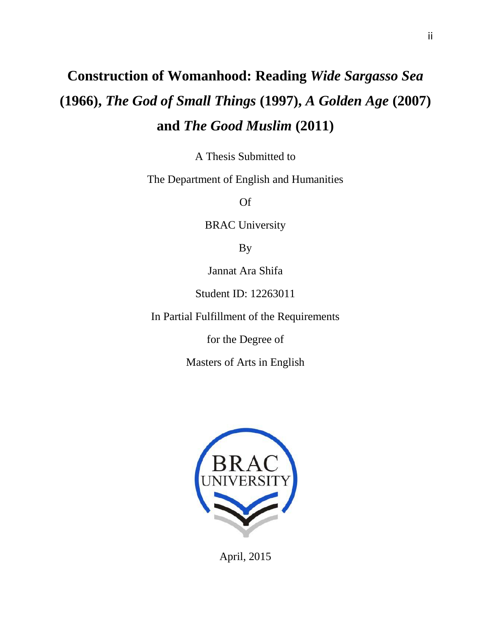## **Construction of Womanhood: Reading** *Wide Sargasso Sea*  **(1966),** *The God of Small Things* **(1997),** *A Golden Age* **(2007) and** *The Good Muslim* **(2011)**

A Thesis Submitted to

The Department of English and Humanities

Of

BRAC University

By

Jannat Ara Shifa

Student ID: 12263011

In Partial Fulfillment of the Requirements

for the Degree of

Masters of Arts in English



April, 2015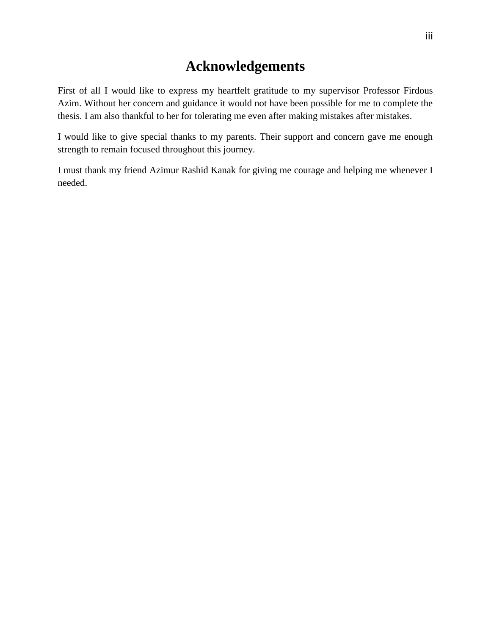### **Acknowledgements**

First of all I would like to express my heartfelt gratitude to my supervisor Professor Firdous Azim. Without her concern and guidance it would not have been possible for me to complete the thesis. I am also thankful to her for tolerating me even after making mistakes after mistakes.

I would like to give special thanks to my parents. Their support and concern gave me enough strength to remain focused throughout this journey.

I must thank my friend Azimur Rashid Kanak for giving me courage and helping me whenever I needed.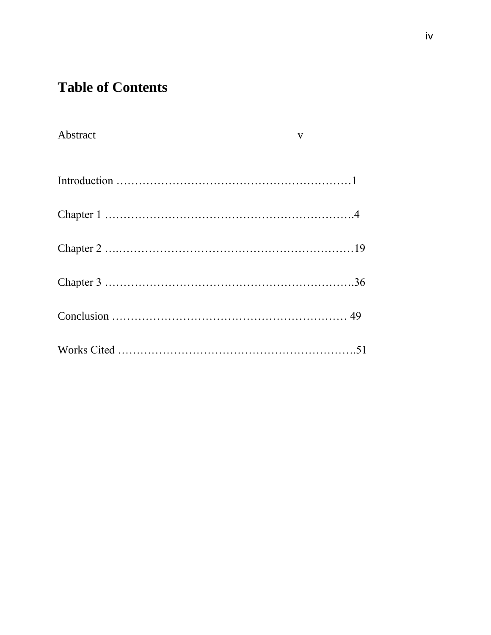## **Table of Contents**

| Abstract | $\mathbf{V}$ |
|----------|--------------|
|          |              |
|          |              |
|          |              |
|          |              |
|          |              |
|          |              |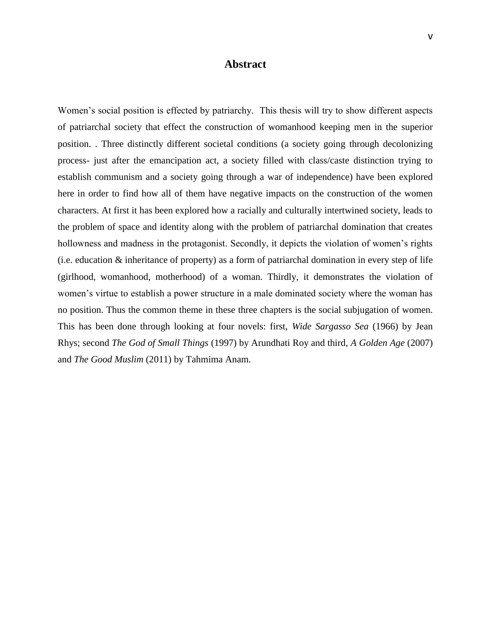#### **Abstract**

Women's social position is effected by patriarchy. This thesis will try to show different aspects of patriarchal society that effect the construction of womanhood keeping men in the superior position. . Three distinctly different societal conditions (a society going through decolonizing process- just after the emancipation act, a society filled with class/caste distinction trying to establish communism and a society going through a war of independence) have been explored here in order to find how all of them have negative impacts on the construction of the women characters. At first it has been explored how a racially and culturally intertwined society, leads to the problem of space and identity along with the problem of patriarchal domination that creates hollowness and madness in the protagonist. Secondly, it depicts the violation of women's rights (i.e. education & inheritance of property) as a form of patriarchal domination in every step of life (girlhood, womanhood, motherhood) of a woman. Thirdly, it demonstrates the violation of women's virtue to establish a power structure in a male dominated society where the woman has no position. Thus the common theme in these three chapters is the social subjugation of women. This has been done through looking at four novels: first, *Wide Sargasso Sea* (1966) by Jean Rhys; second *The God of Small Things* (1997) by Arundhati Roy and third, *A Golden Age* (2007) and *The Good Muslim* (2011) by Tahmima Anam.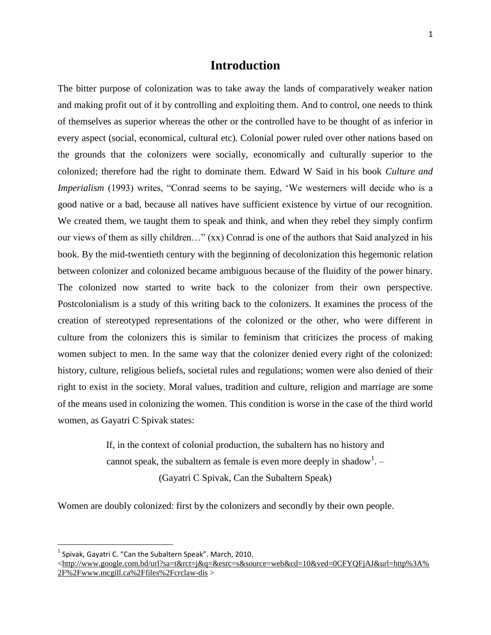#### **Introduction**

The bitter purpose of colonization was to take away the lands of comparatively weaker nation and making profit out of it by controlling and exploiting them. And to control, one needs to think of themselves as superior whereas the other or the controlled have to be thought of as inferior in every aspect (social, economical, cultural etc). Colonial power ruled over other nations based on the grounds that the colonizers were socially, economically and culturally superior to the colonized; therefore had the right to dominate them. Edward W Said in his book *Culture and Imperialism* (1993) writes, "Conrad seems to be saying, 'We westerners will decide who is a good native or a bad, because all natives have sufficient existence by virtue of our recognition. We created them, we taught them to speak and think, and when they rebel they simply confirm our views of them as silly children…" (xx) Conrad is one of the authors that Said analyzed in his book. By the mid-twentieth century with the beginning of decolonization this hegemonic relation between colonizer and colonized became ambiguous because of the fluidity of the power binary. The colonized now started to write back to the colonizer from their own perspective. Postcolonialism is a study of this writing back to the colonizers. It examines the process of the creation of stereotyped representations of the colonized or the other, who were different in culture from the colonizers this is similar to feminism that criticizes the process of making women subject to men. In the same way that the colonizer denied every right of the colonized: history, culture, religious beliefs, societal rules and regulations; women were also denied of their right to exist in the society. Moral values, tradition and culture, religion and marriage are some of the means used in colonizing the women. This condition is worse in the case of the third world women, as Gayatri C Spivak states:

> If, in the context of colonial production, the subaltern has no history and cannot speak, the subaltern as female is even more deeply in shadow<sup>1</sup>.  $-$ (Gayatri C Spivak, Can the Subaltern Speak)

Women are doubly colonized: first by the colonizers and secondly by their own people.

 $\overline{\phantom{a}}$ 

 $<sup>1</sup>$  Spivak, Gayatri C. "Can the Subaltern Speak". March, 2010.</sup>

[<sup>&</sup>lt;http://www.google.com.bd/url?sa=t&rct=j&q=&esrc=s&source=web&cd=10&ved=0CFYQFjAJ&url=http%3A%](http://www.google.com.bd/url?sa=t&rct=j&q=&esrc=s&source=web&cd=10&ved=0CFYQFjAJ&url=http%3A%2F%2Fwww.mcgill.ca%2Ffiles%2Fcrclaw-dis) [2F%2Fwww.mcgill.ca%2Ffiles%2Fcrclaw-dis](http://www.google.com.bd/url?sa=t&rct=j&q=&esrc=s&source=web&cd=10&ved=0CFYQFjAJ&url=http%3A%2F%2Fwww.mcgill.ca%2Ffiles%2Fcrclaw-dis) >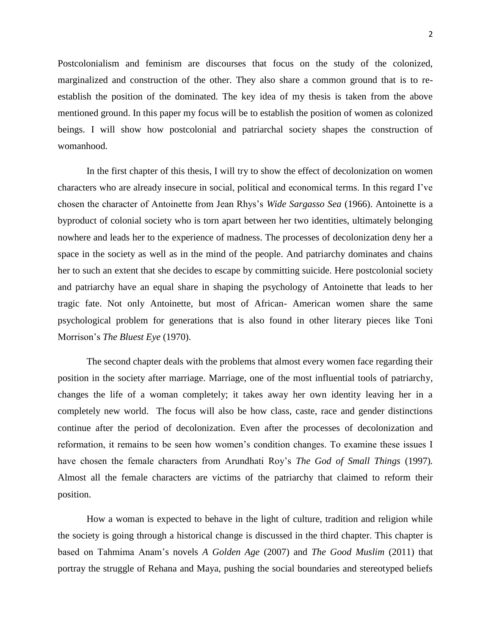Postcolonialism and feminism are discourses that focus on the study of the colonized, marginalized and construction of the other. They also share a common ground that is to reestablish the position of the dominated. The key idea of my thesis is taken from the above mentioned ground. In this paper my focus will be to establish the position of women as colonized beings. I will show how postcolonial and patriarchal society shapes the construction of womanhood.

In the first chapter of this thesis, I will try to show the effect of decolonization on women characters who are already insecure in social, political and economical terms. In this regard I've chosen the character of Antoinette from Jean Rhys's *Wide Sargasso Sea* (1966). Antoinette is a byproduct of colonial society who is torn apart between her two identities, ultimately belonging nowhere and leads her to the experience of madness. The processes of decolonization deny her a space in the society as well as in the mind of the people. And patriarchy dominates and chains her to such an extent that she decides to escape by committing suicide. Here postcolonial society and patriarchy have an equal share in shaping the psychology of Antoinette that leads to her tragic fate. Not only Antoinette, but most of African- American women share the same psychological problem for generations that is also found in other literary pieces like Toni Morrison's *The Bluest Eye* (1970).

The second chapter deals with the problems that almost every women face regarding their position in the society after marriage. Marriage, one of the most influential tools of patriarchy, changes the life of a woman completely; it takes away her own identity leaving her in a completely new world. The focus will also be how class, caste, race and gender distinctions continue after the period of decolonization. Even after the processes of decolonization and reformation, it remains to be seen how women's condition changes. To examine these issues I have chosen the female characters from Arundhati Roy's *The God of Small Things* (1997)*.*  Almost all the female characters are victims of the patriarchy that claimed to reform their position.

How a woman is expected to behave in the light of culture, tradition and religion while the society is going through a historical change is discussed in the third chapter. This chapter is based on Tahmima Anam's novels *A Golden Age* (2007) and *The Good Muslim* (2011) that portray the struggle of Rehana and Maya, pushing the social boundaries and stereotyped beliefs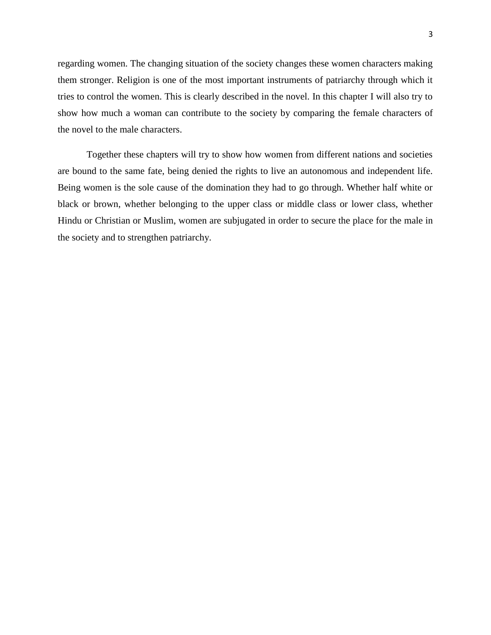regarding women. The changing situation of the society changes these women characters making them stronger. Religion is one of the most important instruments of patriarchy through which it tries to control the women. This is clearly described in the novel. In this chapter I will also try to show how much a woman can contribute to the society by comparing the female characters of the novel to the male characters.

Together these chapters will try to show how women from different nations and societies are bound to the same fate, being denied the rights to live an autonomous and independent life. Being women is the sole cause of the domination they had to go through. Whether half white or black or brown, whether belonging to the upper class or middle class or lower class, whether Hindu or Christian or Muslim, women are subjugated in order to secure the place for the male in the society and to strengthen patriarchy.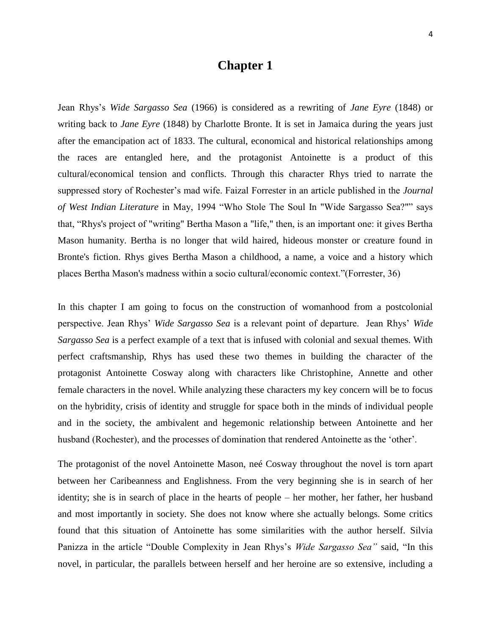### **Chapter 1**

Jean Rhys's *Wide Sargasso Sea* (1966) is considered as a rewriting of *Jane Eyre* (1848) or writing back to *Jane Eyre* (1848) by Charlotte Bronte. It is set in Jamaica during the years just after the emancipation act of 1833. The cultural, economical and historical relationships among the races are entangled here, and the protagonist Antoinette is a product of this cultural/economical tension and conflicts. Through this character Rhys tried to narrate the suppressed story of Rochester's mad wife. Faizal Forrester in an article published in the *Journal*  of West Indian Literature in May, 1994 "Who Stole The Soul In "Wide Sargasso Sea?"" says that, "Rhys's project of "writing" Bertha Mason a "life," then, is an important one: it gives Bertha Mason humanity. Bertha is no longer that wild haired, hideous monster or creature found in Bronte's fiction. Rhys gives Bertha Mason a childhood, a name, a voice and a history which places Bertha Mason's madness within a socio cultural/economic context."(Forrester, 36)

In this chapter I am going to focus on the construction of womanhood from a postcolonial perspective. Jean Rhys' *Wide Sargasso Sea* is a relevant point of departure. Jean Rhys' *Wide Sargasso Sea* is a perfect example of a text that is infused with colonial and sexual themes. With perfect craftsmanship, Rhys has used these two themes in building the character of the protagonist Antoinette Cosway along with characters like Christophine, Annette and other female characters in the novel. While analyzing these characters my key concern will be to focus on the hybridity, crisis of identity and struggle for space both in the minds of individual people and in the society, the ambivalent and hegemonic relationship between Antoinette and her husband (Rochester), and the processes of domination that rendered Antoinette as the 'other'.

The protagonist of the novel Antoinette Mason, neé Cosway throughout the novel is torn apart between her Caribeanness and Englishness. From the very beginning she is in search of her identity; she is in search of place in the hearts of people – her mother, her father, her husband and most importantly in society. She does not know where she actually belongs. Some critics found that this situation of Antoinette has some similarities with the author herself. Silvia Panizza in the article "Double Complexity in Jean Rhys's *Wide Sargasso Sea"* said, "In this novel, in particular, the parallels between herself and her heroine are so extensive, including a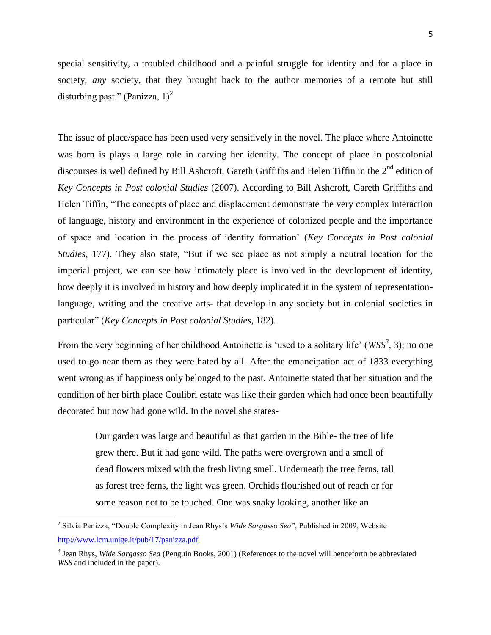special sensitivity, a troubled childhood and a painful struggle for identity and for a place in society, *any* society, that they brought back to the author memories of a remote but still disturbing past." (Panizza,  $1$ )<sup>2</sup>

The issue of place/space has been used very sensitively in the novel. The place where Antoinette was born is plays a large role in carving her identity. The concept of place in postcolonial discourses is well defined by Bill Ashcroft, Gareth Griffiths and Helen Tiffin in the 2<sup>nd</sup> edition of *Key Concepts in Post colonial Studies* (2007). According to Bill Ashcroft, Gareth Griffiths and Helen Tiffin, "The concepts of place and displacement demonstrate the very complex interaction of language, history and environment in the experience of colonized people and the importance of space and location in the process of identity formation' (*Key Concepts in Post colonial Studies*, 177). They also state, "But if we see place as not simply a neutral location for the imperial project, we can see how intimately place is involved in the development of identity, how deeply it is involved in history and how deeply implicated it in the system of representationlanguage, writing and the creative arts- that develop in any society but in colonial societies in particular‖ (*Key Concepts in Post colonial Studies*, 182).

From the very beginning of her childhood Antoinette is 'used to a solitary life' (*WSS<sup>3</sup>*, 3); no one used to go near them as they were hated by all. After the emancipation act of 1833 everything went wrong as if happiness only belonged to the past. Antoinette stated that her situation and the condition of her birth place Coulibri estate was like their garden which had once been beautifully decorated but now had gone wild. In the novel she states-

Our garden was large and beautiful as that garden in the Bible- the tree of life grew there. But it had gone wild. The paths were overgrown and a smell of dead flowers mixed with the fresh living smell. Underneath the tree ferns, tall as forest tree ferns, the light was green. Orchids flourished out of reach or for some reason not to be touched. One was snaky looking, another like an

<sup>&</sup>lt;sup>2</sup> Silvia Panizza, "Double Complexity in Jean Rhys's *Wide Sargasso Sea*", Published in 2009, Website <http://www.lcm.unige.it/pub/17/panizza.pdf>

<sup>3</sup> Jean Rhys, *Wide Sargasso Sea* (Penguin Books, 2001) (References to the novel will henceforth be abbreviated *WSS* and included in the paper).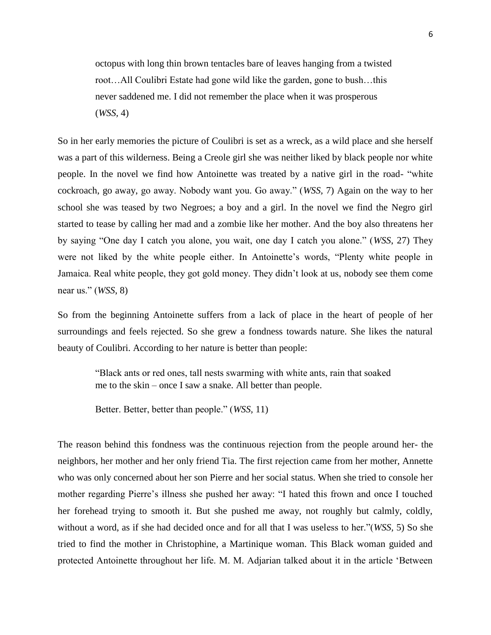octopus with long thin brown tentacles bare of leaves hanging from a twisted root…All Coulibri Estate had gone wild like the garden, gone to bush…this never saddened me. I did not remember the place when it was prosperous (*WSS,* 4)

So in her early memories the picture of Coulibri is set as a wreck, as a wild place and she herself was a part of this wilderness. Being a Creole girl she was neither liked by black people nor white people. In the novel we find how Antoinette was treated by a native girl in the road- "white cockroach, go away, go away. Nobody want you. Go away.‖ (*WSS,* 7) Again on the way to her school she was teased by two Negroes; a boy and a girl. In the novel we find the Negro girl started to tease by calling her mad and a zombie like her mother. And the boy also threatens her by saying "One day I catch you alone, you wait, one day I catch you alone." (*WSS*, 27) They were not liked by the white people either. In Antoinette's words, "Plenty white people in Jamaica. Real white people, they got gold money. They didn't look at us, nobody see them come near us." (*WSS*, 8)

So from the beginning Antoinette suffers from a lack of place in the heart of people of her surroundings and feels rejected. So she grew a fondness towards nature. She likes the natural beauty of Coulibri. According to her nature is better than people:

―Black ants or red ones, tall nests swarming with white ants, rain that soaked me to the skin – once I saw a snake. All better than people.

Better. Better, better than people." (*WSS*, 11)

The reason behind this fondness was the continuous rejection from the people around her- the neighbors, her mother and her only friend Tia. The first rejection came from her mother, Annette who was only concerned about her son Pierre and her social status. When she tried to console her mother regarding Pierre's illness she pushed her away: "I hated this frown and once I touched her forehead trying to smooth it. But she pushed me away, not roughly but calmly, coldly, without a word, as if she had decided once and for all that I was useless to her."(*WSS*, 5) So she tried to find the mother in Christophine, a Martinique woman. This Black woman guided and protected Antoinette throughout her life. M. M. Adjarian talked about it in the article 'Between'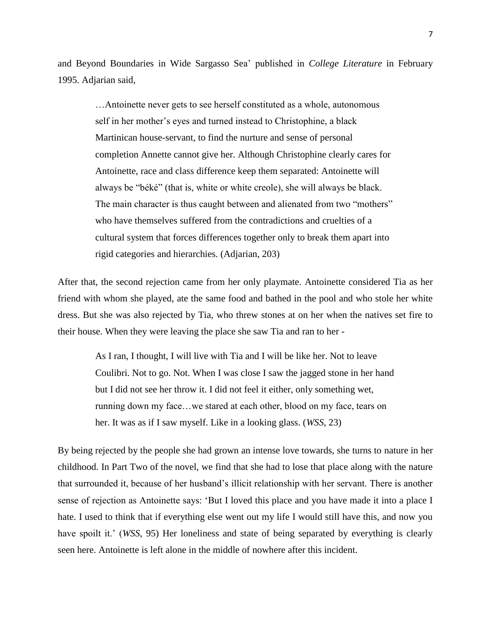and Beyond Boundaries in Wide Sargasso Sea' published in *College Literature* in February 1995. Adjarian said,

> …Antoinette never gets to see herself constituted as a whole, autonomous self in her mother's eyes and turned instead to Christophine, a black Martinican house-servant, to find the nurture and sense of personal completion Annette cannot give her. Although Christophine clearly cares for Antoinette, race and class difference keep them separated: Antoinette will always be "béké" (that is, white or white creole), she will always be black. The main character is thus caught between and alienated from two "mothers" who have themselves suffered from the contradictions and cruelties of a cultural system that forces differences together only to break them apart into rigid categories and hierarchies. (Adjarian, 203)

After that, the second rejection came from her only playmate. Antoinette considered Tia as her friend with whom she played, ate the same food and bathed in the pool and who stole her white dress. But she was also rejected by Tia, who threw stones at on her when the natives set fire to their house. When they were leaving the place she saw Tia and ran to her -

> As I ran, I thought, I will live with Tia and I will be like her. Not to leave Coulibri. Not to go. Not. When I was close I saw the jagged stone in her hand but I did not see her throw it. I did not feel it either, only something wet, running down my face…we stared at each other, blood on my face, tears on her. It was as if I saw myself. Like in a looking glass. (*WSS*, 23)

By being rejected by the people she had grown an intense love towards, she turns to nature in her childhood. In Part Two of the novel, we find that she had to lose that place along with the nature that surrounded it, because of her husband's illicit relationship with her servant. There is another sense of rejection as Antoinette says: 'But I loved this place and you have made it into a place I hate. I used to think that if everything else went out my life I would still have this, and now you have spoilt it.' (*WSS*, 95) Her loneliness and state of being separated by everything is clearly seen here. Antoinette is left alone in the middle of nowhere after this incident.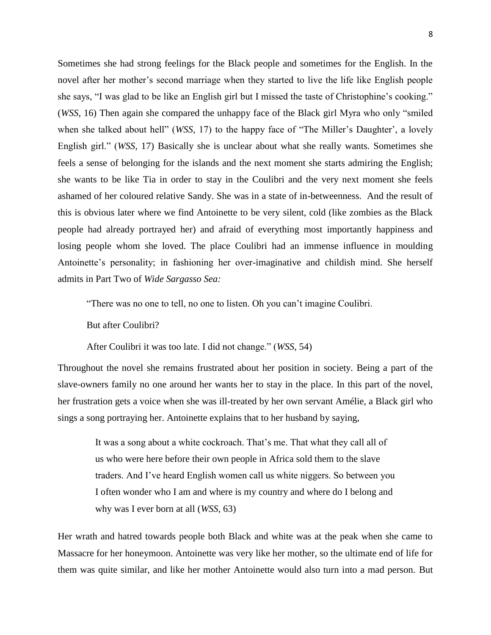Sometimes she had strong feelings for the Black people and sometimes for the English. In the novel after her mother's second marriage when they started to live the life like English people she says, "I was glad to be like an English girl but I missed the taste of Christophine's cooking." (*WSS,* 16) Then again she compared the unhappy face of the Black girl Myra who only "smiled when she talked about hell" (*WSS*, 17) to the happy face of "The Miller's Daughter', a lovely English girl." (*WSS, 17*) Basically she is unclear about what she really wants. Sometimes she feels a sense of belonging for the islands and the next moment she starts admiring the English; she wants to be like Tia in order to stay in the Coulibri and the very next moment she feels ashamed of her coloured relative Sandy. She was in a state of in-betweenness. And the result of this is obvious later where we find Antoinette to be very silent, cold (like zombies as the Black people had already portrayed her) and afraid of everything most importantly happiness and losing people whom she loved. The place Coulibri had an immense influence in moulding Antoinette's personality; in fashioning her over-imaginative and childish mind. She herself admits in Part Two of *Wide Sargasso Sea:*

―There was no one to tell, no one to listen. Oh you can't imagine Coulibri.

But after Coulibri?

After Coulibri it was too late. I did not change." (*WSS*, 54)

Throughout the novel she remains frustrated about her position in society. Being a part of the slave-owners family no one around her wants her to stay in the place. In this part of the novel, her frustration gets a voice when she was ill-treated by her own servant Amélie, a Black girl who sings a song portraying her. Antoinette explains that to her husband by saying,

> It was a song about a white cockroach. That's me. That what they call all of us who were here before their own people in Africa sold them to the slave traders. And I've heard English women call us white niggers. So between you I often wonder who I am and where is my country and where do I belong and why was I ever born at all (*WSS,* 63)

Her wrath and hatred towards people both Black and white was at the peak when she came to Massacre for her honeymoon. Antoinette was very like her mother, so the ultimate end of life for them was quite similar, and like her mother Antoinette would also turn into a mad person. But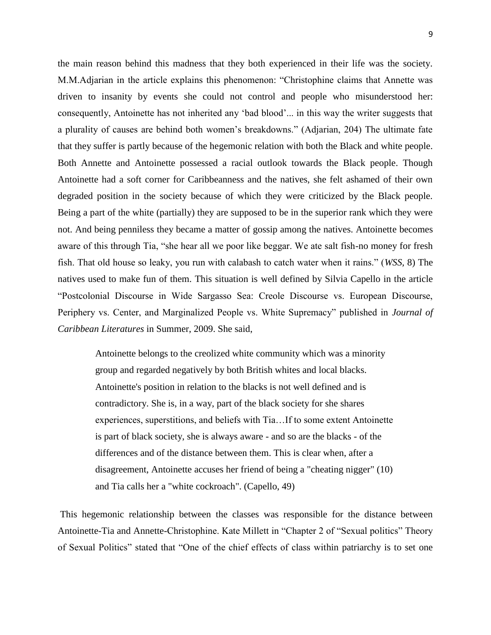the main reason behind this madness that they both experienced in their life was the society. M.M.Adjarian in the article explains this phenomenon: "Christophine claims that Annette was driven to insanity by events she could not control and people who misunderstood her: consequently, Antoinette has not inherited any 'bad blood'... in this way the writer suggests that a plurality of causes are behind both women's breakdowns." (Adjarian, 204) The ultimate fate that they suffer is partly because of the hegemonic relation with both the Black and white people. Both Annette and Antoinette possessed a racial outlook towards the Black people. Though Antoinette had a soft corner for Caribbeanness and the natives, she felt ashamed of their own degraded position in the society because of which they were criticized by the Black people. Being a part of the white (partially) they are supposed to be in the superior rank which they were not. And being penniless they became a matter of gossip among the natives. Antoinette becomes aware of this through Tia, "she hear all we poor like beggar. We ate salt fish-no money for fresh fish. That old house so leaky, you run with calabash to catch water when it rains.‖ (*WSS,* 8) The natives used to make fun of them. This situation is well defined by Silvia Capello in the article ―Postcolonial Discourse in Wide Sargasso Sea: Creole Discourse vs. European Discourse, Periphery vs. Center, and Marginalized People vs. White Supremacy" published in *Journal of Caribbean Literatures* in Summer, 2009. She said,

Antoinette belongs to the creolized white community which was a minority group and regarded negatively by both British whites and local blacks. Antoinette's position in relation to the blacks is not well defined and is contradictory. She is, in a way, part of the black society for she shares experiences, superstitions, and beliefs with Tia…If to some extent Antoinette is part of black society, she is always aware - and so are the blacks - of the differences and of the distance between them. This is clear when, after a disagreement, Antoinette accuses her friend of being a "cheating nigger" (10) and Tia calls her a "white cockroach". (Capello, 49)

This hegemonic relationship between the classes was responsible for the distance between Antoinette-Tia and Annette-Christophine. Kate Millett in "Chapter 2 of "Sexual politics" Theory of Sexual Politics" stated that "One of the chief effects of class within patriarchy is to set one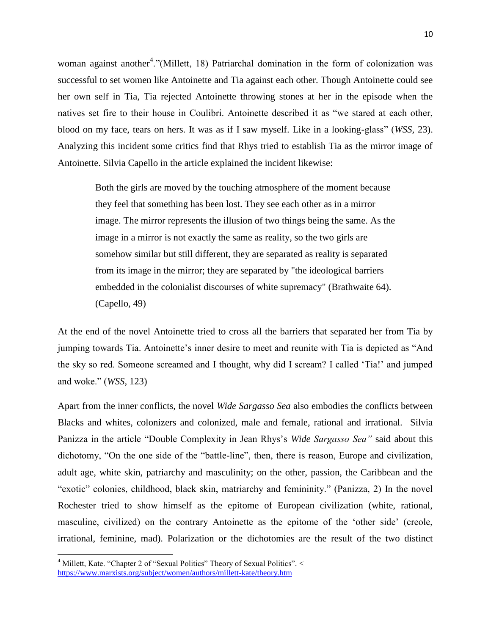woman against another<sup>4</sup>."(Millett, 18) Patriarchal domination in the form of colonization was successful to set women like Antoinette and Tia against each other. Though Antoinette could see her own self in Tia, Tia rejected Antoinette throwing stones at her in the episode when the natives set fire to their house in Coulibri. Antoinette described it as "we stared at each other, blood on my face, tears on hers. It was as if I saw myself. Like in a looking-glass" (*WSS*, 23). Analyzing this incident some critics find that Rhys tried to establish Tia as the mirror image of Antoinette. Silvia Capello in the article explained the incident likewise:

Both the girls are moved by the touching atmosphere of the moment because they feel that something has been lost. They see each other as in a mirror image. The mirror represents the illusion of two things being the same. As the image in a mirror is not exactly the same as reality, so the two girls are somehow similar but still different, they are separated as reality is separated from its image in the mirror; they are separated by "the ideological barriers embedded in the colonialist discourses of white supremacy" (Brathwaite 64). (Capello, 49)

At the end of the novel Antoinette tried to cross all the barriers that separated her from Tia by jumping towards Tia. Antoinette's inner desire to meet and reunite with Tia is depicted as "And the sky so red. Someone screamed and I thought, why did I scream? I called 'Tia!' and jumped and woke.‖ (*WSS,* 123)

Apart from the inner conflicts, the novel *Wide Sargasso Sea* also embodies the conflicts between Blacks and whites, colonizers and colonized, male and female, rational and irrational. Silvia Panizza in the article "Double Complexity in Jean Rhys's *Wide Sargasso Sea*" said about this dichotomy, "On the one side of the "battle-line", then, there is reason, Europe and civilization, adult age, white skin, patriarchy and masculinity; on the other, passion, the Caribbean and the "exotic" colonies, childhood, black skin, matriarchy and femininity." (Panizza, 2) In the novel Rochester tried to show himself as the epitome of European civilization (white, rational, masculine, civilized) on the contrary Antoinette as the epitome of the 'other side' (creole, irrational, feminine, mad). Polarization or the dichotomies are the result of the two distinct

 $\overline{\phantom{a}}$ 

<sup>&</sup>lt;sup>4</sup> Millett, Kate. "Chapter 2 of "Sexual Politics" Theory of Sexual Politics". < <https://www.marxists.org/subject/women/authors/millett-kate/theory.htm>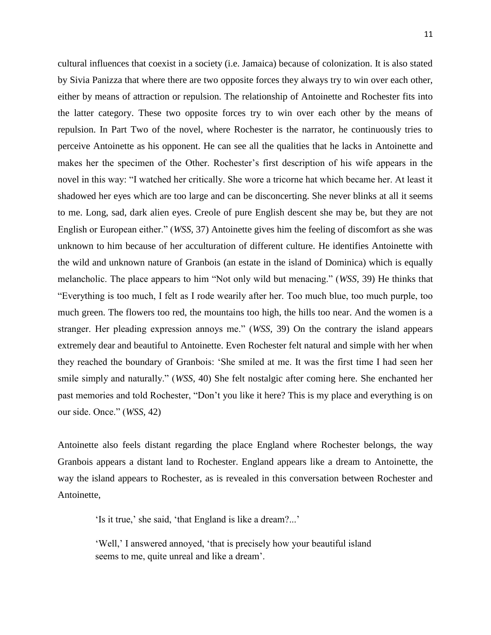cultural influences that coexist in a society (i.e. Jamaica) because of colonization. It is also stated by Sivia Panizza that where there are two opposite forces they always try to win over each other, either by means of attraction or repulsion. The relationship of Antoinette and Rochester fits into the latter category. These two opposite forces try to win over each other by the means of repulsion. In Part Two of the novel, where Rochester is the narrator, he continuously tries to perceive Antoinette as his opponent. He can see all the qualities that he lacks in Antoinette and makes her the specimen of the Other. Rochester's first description of his wife appears in the novel in this way: "I watched her critically. She wore a tricorne hat which became her. At least it shadowed her eyes which are too large and can be disconcerting. She never blinks at all it seems to me. Long, sad, dark alien eyes. Creole of pure English descent she may be, but they are not English or European either." (*WSS, 37*) Antoinette gives him the feeling of discomfort as she was unknown to him because of her acculturation of different culture. He identifies Antoinette with the wild and unknown nature of Granbois (an estate in the island of Dominica) which is equally melancholic. The place appears to him "Not only wild but menacing." (*WSS*, 39) He thinks that ―Everything is too much, I felt as I rode wearily after her. Too much blue, too much purple, too much green. The flowers too red, the mountains too high, the hills too near. And the women is a stranger. Her pleading expression annoys me." (*WSS*, 39) On the contrary the island appears extremely dear and beautiful to Antoinette. Even Rochester felt natural and simple with her when they reached the boundary of Granbois: ‗She smiled at me. It was the first time I had seen her smile simply and naturally." (*WSS*, 40) She felt nostalgic after coming here. She enchanted her past memories and told Rochester, "Don't you like it here? This is my place and everything is on our side. Once.‖ (*WSS,* 42)

Antoinette also feels distant regarding the place England where Rochester belongs, the way Granbois appears a distant land to Rochester. England appears like a dream to Antoinette, the way the island appears to Rochester, as is revealed in this conversation between Rochester and Antoinette,

'Is it true,' she said, 'that England is like a dream?...'

‗Well,' I answered annoyed, ‗that is precisely how your beautiful island seems to me, quite unreal and like a dream'.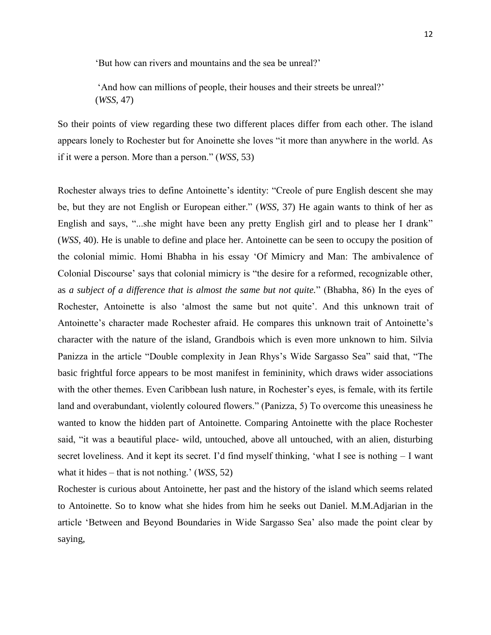‗But how can rivers and mountains and the sea be unreal?'

‗And how can millions of people, their houses and their streets be unreal?' (*WSS,* 47)

So their points of view regarding these two different places differ from each other. The island appears lonely to Rochester but for Anoinette she loves "it more than anywhere in the world. As if it were a person. More than a person." (*WSS*, 53)

Rochester always tries to define Antoinette's identity: "Creole of pure English descent she may be, but they are not English or European either." (*WSS*, 37) He again wants to think of her as English and says, "...she might have been any pretty English girl and to please her I drank" (*WSS,* 40). He is unable to define and place her. Antoinette can be seen to occupy the position of the colonial mimic. Homi Bhabha in his essay ‗Of Mimicry and Man: The ambivalence of Colonial Discourse' says that colonial mimicry is "the desire for a reformed, recognizable other, as *a subject of a difference that is almost the same but not quite.*‖ (Bhabha, 86) In the eyes of Rochester, Antoinette is also 'almost the same but not quite'. And this unknown trait of Antoinette's character made Rochester afraid. He compares this unknown trait of Antoinette's character with the nature of the island, Grandbois which is even more unknown to him. Silvia Panizza in the article "Double complexity in Jean Rhys's Wide Sargasso Sea" said that, "The basic frightful force appears to be most manifest in femininity, which draws wider associations with the other themes. Even Caribbean lush nature, in Rochester's eyes, is female, with its fertile land and overabundant, violently coloured flowers." (Panizza, 5) To overcome this uneasiness he wanted to know the hidden part of Antoinette. Comparing Antoinette with the place Rochester said, "it was a beautiful place- wild, untouched, above all untouched, with an alien, disturbing secret loveliness. And it kept its secret. I'd find myself thinking, 'what I see is nothing  $- I$  want what it hides – that is not nothing.' (*WSS,* 52)

Rochester is curious about Antoinette, her past and the history of the island which seems related to Antoinette. So to know what she hides from him he seeks out Daniel. M.M.Adjarian in the article ‗Between and Beyond Boundaries in Wide Sargasso Sea' also made the point clear by saying,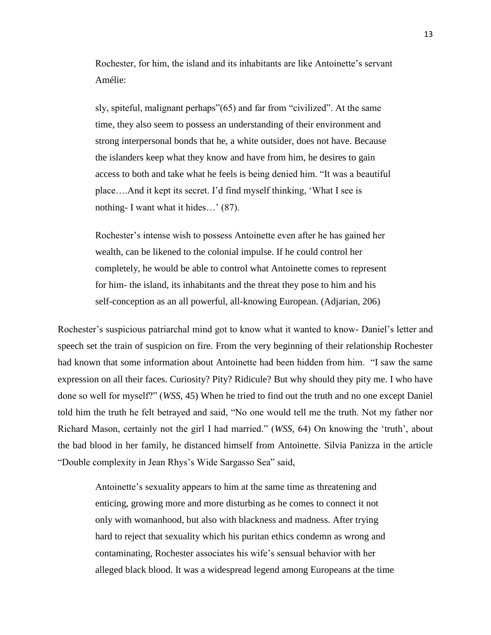Rochester, for him, the island and its inhabitants are like Antoinette's servant Amélie:

sly, spiteful, malignant perhaps" $(65)$  and far from "civilized". At the same time, they also seem to possess an understanding of their environment and strong interpersonal bonds that he, a white outsider, does not have. Because the islanders keep what they know and have from him, he desires to gain access to both and take what he feels is being denied him. "It was a beautiful place....And it kept its secret. I'd find myself thinking, 'What I see is nothing- I want what it hides…' (87).

Rochester's intense wish to possess Antoinette even after he has gained her wealth, can be likened to the colonial impulse. If he could control her completely, he would be able to control what Antoinette comes to represent for him- the island, its inhabitants and the threat they pose to him and his self-conception as an all powerful, all-knowing European. (Adjarian, 206)

Rochester's suspicious patriarchal mind got to know what it wanted to know- Daniel's letter and speech set the train of suspicion on fire. From the very beginning of their relationship Rochester had known that some information about Antoinette had been hidden from him. "I saw the same expression on all their faces. Curiosity? Pity? Ridicule? But why should they pity me. I who have done so well for myself?‖ (*WSS,* 45) When he tried to find out the truth and no one except Daniel told him the truth he felt betrayed and said, "No one would tell me the truth. Not my father nor Richard Mason, certainly not the girl I had married." (*WSS*, 64) On knowing the 'truth', about the bad blood in her family, he distanced himself from Antoinette. Silvia Panizza in the article "Double complexity in Jean Rhys's Wide Sargasso Sea" said,

Antoinette's sexuality appears to him at the same time as threatening and enticing, growing more and more disturbing as he comes to connect it not only with womanhood, but also with blackness and madness. After trying hard to reject that sexuality which his puritan ethics condemn as wrong and contaminating, Rochester associates his wife's sensual behavior with her alleged black blood. It was a widespread legend among Europeans at the time 13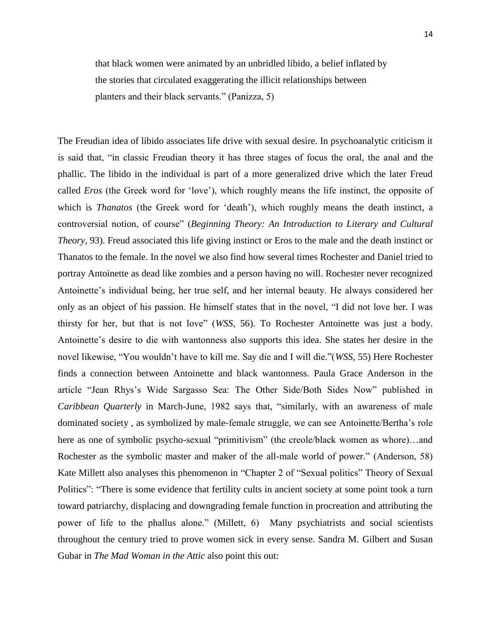that black women were animated by an unbridled libido, a belief inflated by the stories that circulated exaggerating the illicit relationships between planters and their black servants." (Panizza, 5)

The Freudian idea of libido associates life drive with sexual desire. In psychoanalytic criticism it is said that, "in classic Freudian theory it has three stages of focus the oral, the anal and the phallic. The libido in the individual is part of a more generalized drive which the later Freud called *Eros* (the Greek word for 'love'), which roughly means the life instinct, the opposite of which is *Thanatos* (the Greek word for 'death'), which roughly means the death instinct, a controversial notion, of course" (*Beginning Theory: An Introduction to Literary and Cultural Theory,* 93). Freud associated this life giving instinct or Eros to the male and the death instinct or Thanatos to the female. In the novel we also find how several times Rochester and Daniel tried to portray Antoinette as dead like zombies and a person having no will. Rochester never recognized Antoinette's individual being, her true self, and her internal beauty. He always considered her only as an object of his passion. He himself states that in the novel, "I did not love her. I was thirsty for her, but that is not love‖ (*WSS,* 56). To Rochester Antoinette was just a body. Antoinette's desire to die with wantonness also supports this idea. She states her desire in the novel likewise, "You wouldn't have to kill me. Say die and I will die."(*WSS*, 55) Here Rochester finds a connection between Antoinette and black wantonness. Paula Grace Anderson in the article "Jean Rhys's Wide Sargasso Sea: The Other Side/Both Sides Now" published in *Caribbean Quarterly* in March-June, 1982 says that, "similarly, with an awareness of male dominated society , as symbolized by male-female struggle, we can see Antoinette/Bertha's role here as one of symbolic psycho-sexual "primitivism" (the creole/black women as whore)...and Rochester as the symbolic master and maker of the all-male world of power." (Anderson, 58) Kate Millett also analyses this phenomenon in "Chapter 2 of "Sexual politics" Theory of Sexual Politics": "There is some evidence that fertility cults in ancient society at some point took a turn toward patriarchy, displacing and downgrading female function in procreation and attributing the power of life to the phallus alone." (Millett, 6) Many psychiatrists and social scientists throughout the century tried to prove women sick in every sense. Sandra M. Gilbert and Susan Gubar in *The Mad Woman in the Attic* also point this out: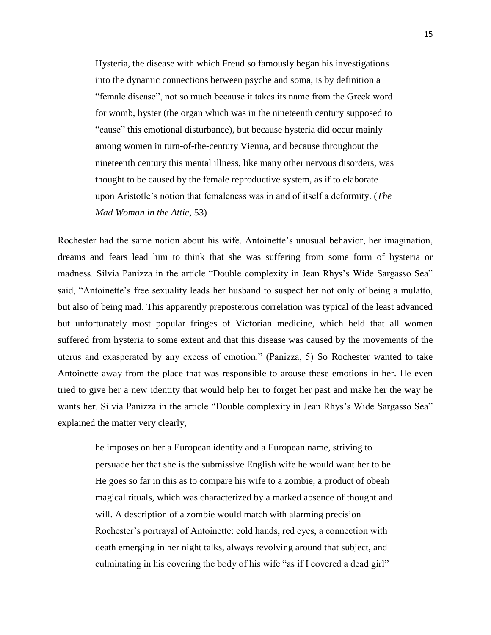Hysteria, the disease with which Freud so famously began his investigations into the dynamic connections between psyche and soma, is by definition a ―female disease‖, not so much because it takes its name from the Greek word for womb, hyster (the organ which was in the nineteenth century supposed to "cause" this emotional disturbance), but because hysteria did occur mainly among women in turn-of-the-century Vienna, and because throughout the nineteenth century this mental illness, like many other nervous disorders, was thought to be caused by the female reproductive system, as if to elaborate upon Aristotle's notion that femaleness was in and of itself a deformity. (*The Mad Woman in the Attic,* 53)

Rochester had the same notion about his wife. Antoinette's unusual behavior, her imagination, dreams and fears lead him to think that she was suffering from some form of hysteria or madness. Silvia Panizza in the article "Double complexity in Jean Rhys's Wide Sargasso Sea" said, "Antoinette's free sexuality leads her husband to suspect her not only of being a mulatto, but also of being mad. This apparently preposterous correlation was typical of the least advanced but unfortunately most popular fringes of Victorian medicine, which held that all women suffered from hysteria to some extent and that this disease was caused by the movements of the uterus and exasperated by any excess of emotion.‖ (Panizza, 5) So Rochester wanted to take Antoinette away from the place that was responsible to arouse these emotions in her. He even tried to give her a new identity that would help her to forget her past and make her the way he wants her. Silvia Panizza in the article "Double complexity in Jean Rhys's Wide Sargasso Sea" explained the matter very clearly,

he imposes on her a European identity and a European name, striving to persuade her that she is the submissive English wife he would want her to be. He goes so far in this as to compare his wife to a zombie, a product of obeah magical rituals, which was characterized by a marked absence of thought and will. A description of a zombie would match with alarming precision Rochester's portrayal of Antoinette: cold hands, red eyes, a connection with death emerging in her night talks, always revolving around that subject, and culminating in his covering the body of his wife "as if I covered a dead girl"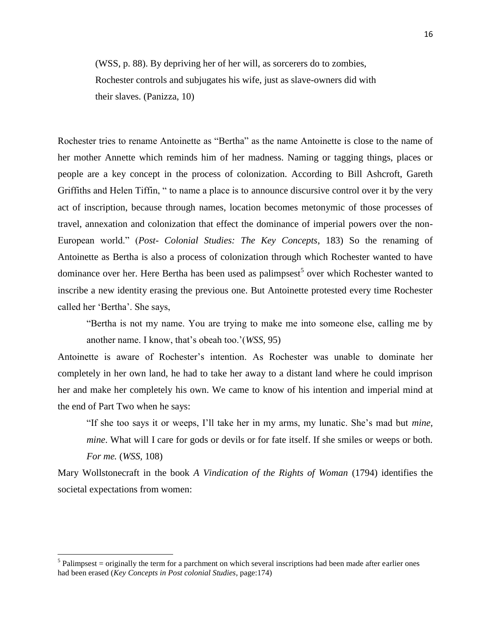(WSS, p. 88). By depriving her of her will, as sorcerers do to zombies, Rochester controls and subjugates his wife, just as slave-owners did with their slaves. (Panizza, 10)

Rochester tries to rename Antoinette as "Bertha" as the name Antoinette is close to the name of her mother Annette which reminds him of her madness. Naming or tagging things, places or people are a key concept in the process of colonization. According to Bill Ashcroft, Gareth Griffiths and Helen Tiffin, " to name a place is to announce discursive control over it by the very act of inscription, because through names, location becomes metonymic of those processes of travel, annexation and colonization that effect the dominance of imperial powers over the non-European world.‖ (*Post- Colonial Studies: The Key Concepts*, 183) So the renaming of Antoinette as Bertha is also a process of colonization through which Rochester wanted to have dominance over her. Here Bertha has been used as palimpsest<sup>5</sup> over which Rochester wanted to inscribe a new identity erasing the previous one. But Antoinette protested every time Rochester called her 'Bertha'. She says,

―Bertha is not my name. You are trying to make me into someone else, calling me by another name. I know, that's obeah too.'(*WSS,* 95)

Antoinette is aware of Rochester's intention. As Rochester was unable to dominate her completely in her own land, he had to take her away to a distant land where he could imprison her and make her completely his own. We came to know of his intention and imperial mind at the end of Part Two when he says:

"If she too says it or weeps, I'll take her in my arms, my lunatic. She's mad but *mine*, *mine*. What will I care for gods or devils or for fate itself. If she smiles or weeps or both. *For me.* (*WSS,* 108)

Mary Wollstonecraft in the book *A Vindication of the Rights of Woman* (1794) identifies the societal expectations from women:

 $\overline{\phantom{a}}$ 

 $<sup>5</sup>$  Palimpsest = originally the term for a parchment on which several inscriptions had been made after earlier ones</sup> had been erased (*Key Concepts in Post colonial Studies*, page:174)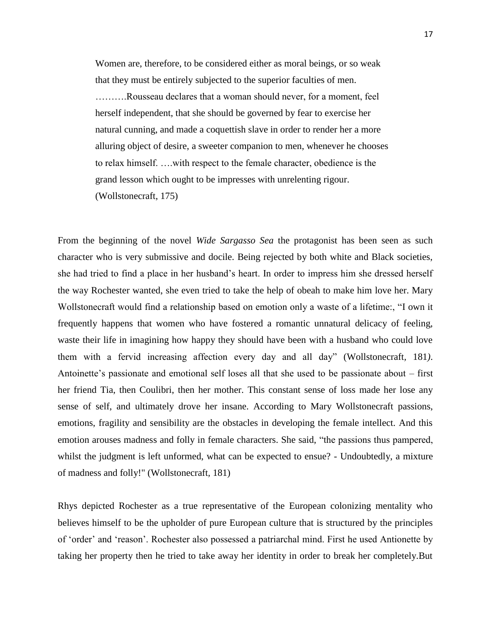Women are, therefore, to be considered either as moral beings, or so weak that they must be entirely subjected to the superior faculties of men.

……….Rousseau declares that a woman should never, for a moment, feel herself independent, that she should be governed by fear to exercise her natural cunning, and made a coquettish slave in order to render her a more alluring object of desire, a sweeter companion to men, whenever he chooses to relax himself. ….with respect to the female character, obedience is the grand lesson which ought to be impresses with unrelenting rigour. (Wollstonecraft, 175)

From the beginning of the novel *Wide Sargasso Sea* the protagonist has been seen as such character who is very submissive and docile. Being rejected by both white and Black societies, she had tried to find a place in her husband's heart. In order to impress him she dressed herself the way Rochester wanted, she even tried to take the help of obeah to make him love her. Mary Wollstonecraft would find a relationship based on emotion only a waste of a lifetime:, "I own it frequently happens that women who have fostered a romantic unnatural delicacy of feeling, waste their life in imagining how happy they should have been with a husband who could love them with a fervid increasing affection every day and all day" (Wollstonecraft, 181). Antoinette's passionate and emotional self loses all that she used to be passionate about – first her friend Tia, then Coulibri, then her mother. This constant sense of loss made her lose any sense of self, and ultimately drove her insane. According to Mary Wollstonecraft passions, emotions, fragility and sensibility are the obstacles in developing the female intellect. And this emotion arouses madness and folly in female characters. She said, "the passions thus pampered, whilst the judgment is left unformed, what can be expected to ensue? - Undoubtedly, a mixture of madness and folly!" (Wollstonecraft*,* 181)

Rhys depicted Rochester as a true representative of the European colonizing mentality who believes himself to be the upholder of pure European culture that is structured by the principles of ‗order' and ‗reason'. Rochester also possessed a patriarchal mind. First he used Antionette by taking her property then he tried to take away her identity in order to break her completely.But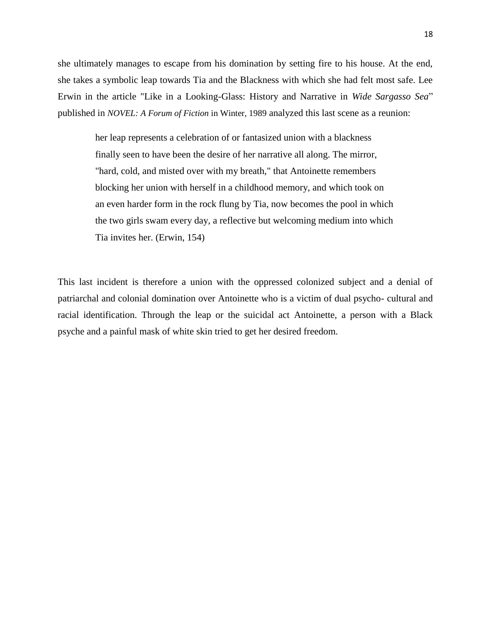she ultimately manages to escape from his domination by setting fire to his house. At the end, she takes a symbolic leap towards Tia and the Blackness with which she had felt most safe. Lee Erwin in the article "Like in a Looking-Glass: History and Narrative in *Wide Sargasso Sea*" published in *NOVEL: A Forum of Fiction* in Winter, 1989 analyzed this last scene as a reunion:

> her leap represents a celebration of or fantasized union with a blackness finally seen to have been the desire of her narrative all along. The mirror, "hard, cold, and misted over with my breath," that Antoinette remembers blocking her union with herself in a childhood memory, and which took on an even harder form in the rock flung by Tia, now becomes the pool in which the two girls swam every day, a reflective but welcoming medium into which Tia invites her. (Erwin, 154)

This last incident is therefore a union with the oppressed colonized subject and a denial of patriarchal and colonial domination over Antoinette who is a victim of dual psycho- cultural and racial identification. Through the leap or the suicidal act Antoinette, a person with a Black psyche and a painful mask of white skin tried to get her desired freedom.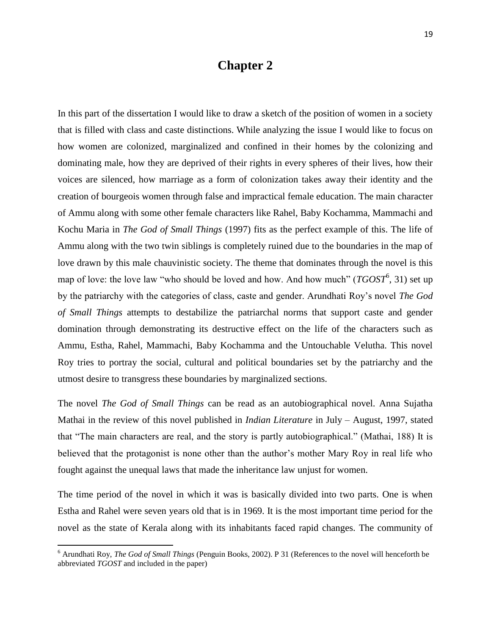### **Chapter 2**

In this part of the dissertation I would like to draw a sketch of the position of women in a society that is filled with class and caste distinctions. While analyzing the issue I would like to focus on how women are colonized, marginalized and confined in their homes by the colonizing and dominating male, how they are deprived of their rights in every spheres of their lives, how their voices are silenced, how marriage as a form of colonization takes away their identity and the creation of bourgeois women through false and impractical female education. The main character of Ammu along with some other female characters like Rahel, Baby Kochamma, Mammachi and Kochu Maria in *The God of Small Things* (1997) fits as the perfect example of this. The life of Ammu along with the two twin siblings is completely ruined due to the boundaries in the map of love drawn by this male chauvinistic society. The theme that dominates through the novel is this map of love: the love law "who should be loved and how. And how much" (*TGOST*<sup>6</sup>, 31) set up by the patriarchy with the categories of class, caste and gender. Arundhati Roy's novel *The God of Small Things* attempts to destabilize the patriarchal norms that support caste and gender domination through demonstrating its destructive effect on the life of the characters such as Ammu, Estha, Rahel, Mammachi, Baby Kochamma and the Untouchable Velutha. This novel Roy tries to portray the social, cultural and political boundaries set by the patriarchy and the utmost desire to transgress these boundaries by marginalized sections.

The novel *The God of Small Things* can be read as an autobiographical novel. Anna Sujatha Mathai in the review of this novel published in *Indian Literature* in July – August, 1997, stated that "The main characters are real, and the story is partly autobiographical." (Mathai, 188) It is believed that the protagonist is none other than the author's mother Mary Roy in real life who fought against the unequal laws that made the inheritance law unjust for women.

The time period of the novel in which it was is basically divided into two parts. One is when Estha and Rahel were seven years old that is in 1969. It is the most important time period for the novel as the state of Kerala along with its inhabitants faced rapid changes. The community of

 $\overline{\phantom{a}}$ 

<sup>6</sup> Arundhati Roy, *The God of Small Things* (Penguin Books, 2002). P 31 (References to the novel will henceforth be abbreviated *TGOST* and included in the paper)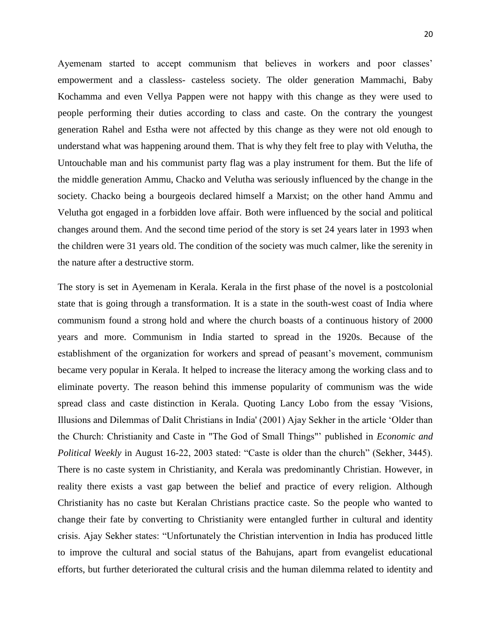Ayemenam started to accept communism that believes in workers and poor classes' empowerment and a classless- casteless society. The older generation Mammachi, Baby Kochamma and even Vellya Pappen were not happy with this change as they were used to people performing their duties according to class and caste. On the contrary the youngest generation Rahel and Estha were not affected by this change as they were not old enough to understand what was happening around them. That is why they felt free to play with Velutha, the Untouchable man and his communist party flag was a play instrument for them. But the life of the middle generation Ammu, Chacko and Velutha was seriously influenced by the change in the society. Chacko being a bourgeois declared himself a Marxist; on the other hand Ammu and Velutha got engaged in a forbidden love affair. Both were influenced by the social and political changes around them. And the second time period of the story is set 24 years later in 1993 when the children were 31 years old. The condition of the society was much calmer, like the serenity in the nature after a destructive storm.

The story is set in Ayemenam in Kerala. Kerala in the first phase of the novel is a postcolonial state that is going through a transformation. It is a state in the south-west coast of India where communism found a strong hold and where the church boasts of a continuous history of 2000 years and more. Communism in India started to spread in the 1920s. Because of the establishment of the organization for workers and spread of peasant's movement, communism became very popular in Kerala. It helped to increase the literacy among the working class and to eliminate poverty. The reason behind this immense popularity of communism was the wide spread class and caste distinction in Kerala. Quoting Lancy Lobo from the essay 'Visions, Illusions and Dilemmas of Dalit Christians in India' (2001) Ajay Sekher in the article ‗Older than the Church: Christianity and Caste in "The God of Small Things"' published in *Economic and Political Weekly* in August 16-22, 2003 stated: "Caste is older than the church" (Sekher, 3445). There is no caste system in Christianity, and Kerala was predominantly Christian. However, in reality there exists a vast gap between the belief and practice of every religion. Although Christianity has no caste but Keralan Christians practice caste. So the people who wanted to change their fate by converting to Christianity were entangled further in cultural and identity crisis. Ajay Sekher states: "Unfortunately the Christian intervention in India has produced little to improve the cultural and social status of the Bahujans, apart from evangelist educational efforts, but further deteriorated the cultural crisis and the human dilemma related to identity and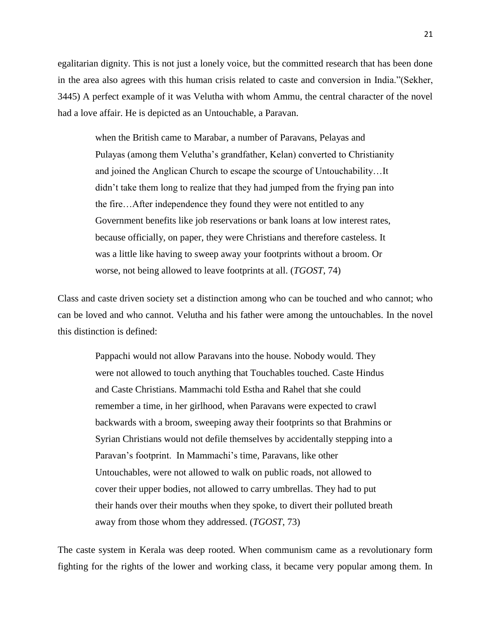egalitarian dignity. This is not just a lonely voice, but the committed research that has been done in the area also agrees with this human crisis related to caste and conversion in India."(Sekher, 3445) A perfect example of it was Velutha with whom Ammu, the central character of the novel had a love affair. He is depicted as an Untouchable, a Paravan.

when the British came to Marabar, a number of Paravans, Pelayas and Pulayas (among them Velutha's grandfather, Kelan) converted to Christianity and joined the Anglican Church to escape the scourge of Untouchability…It didn't take them long to realize that they had jumped from the frying pan into the fire…After independence they found they were not entitled to any Government benefits like job reservations or bank loans at low interest rates, because officially, on paper, they were Christians and therefore casteless. It was a little like having to sweep away your footprints without a broom. Or worse, not being allowed to leave footprints at all. (*TGOST*, 74)

Class and caste driven society set a distinction among who can be touched and who cannot; who can be loved and who cannot. Velutha and his father were among the untouchables. In the novel this distinction is defined:

Pappachi would not allow Paravans into the house. Nobody would. They were not allowed to touch anything that Touchables touched. Caste Hindus and Caste Christians. Mammachi told Estha and Rahel that she could remember a time, in her girlhood, when Paravans were expected to crawl backwards with a broom, sweeping away their footprints so that Brahmins or Syrian Christians would not defile themselves by accidentally stepping into a Paravan's footprint. In Mammachi's time, Paravans, like other Untouchables, were not allowed to walk on public roads, not allowed to cover their upper bodies, not allowed to carry umbrellas. They had to put their hands over their mouths when they spoke, to divert their polluted breath away from those whom they addressed. (*TGOST*, 73)

The caste system in Kerala was deep rooted. When communism came as a revolutionary form fighting for the rights of the lower and working class, it became very popular among them. In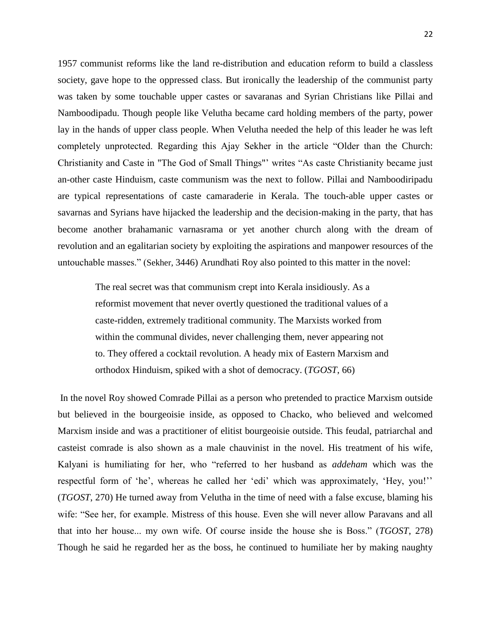1957 communist reforms like the land re-distribution and education reform to build a classless society, gave hope to the oppressed class. But ironically the leadership of the communist party was taken by some touchable upper castes or savaranas and Syrian Christians like Pillai and Namboodipadu. Though people like Velutha became card holding members of the party, power lay in the hands of upper class people. When Velutha needed the help of this leader he was left completely unprotected. Regarding this Ajay Sekher in the article "Older than the Church: Christianity and Caste in "The God of Small Things"' writes "As caste Christianity became just an-other caste Hinduism, caste communism was the next to follow. Pillai and Namboodiripadu are typical representations of caste camaraderie in Kerala. The touch-able upper castes or savarnas and Syrians have hijacked the leadership and the decision-making in the party, that has become another brahamanic varnasrama or yet another church along with the dream of revolution and an egalitarian society by exploiting the aspirations and manpower resources of the untouchable masses.‖ (Sekher, 3446) Arundhati Roy also pointed to this matter in the novel:

The real secret was that communism crept into Kerala insidiously. As a reformist movement that never overtly questioned the traditional values of a caste-ridden, extremely traditional community. The Marxists worked from within the communal divides, never challenging them, never appearing not to. They offered a cocktail revolution. A heady mix of Eastern Marxism and orthodox Hinduism, spiked with a shot of democracy. (*TGOST*, 66)

In the novel Roy showed Comrade Pillai as a person who pretended to practice Marxism outside but believed in the bourgeoisie inside, as opposed to Chacko, who believed and welcomed Marxism inside and was a practitioner of elitist bourgeoisie outside. This feudal, patriarchal and casteist comrade is also shown as a male chauvinist in the novel. His treatment of his wife, Kalyani is humiliating for her, who "referred to her husband as *addeham* which was the respectful form of 'he', whereas he called her 'edi' which was approximately, 'Hey, you!'' (*TGOST*, 270) He turned away from Velutha in the time of need with a false excuse, blaming his wife: "See her, for example. Mistress of this house. Even she will never allow Paravans and all that into her house... my own wife. Of course inside the house she is Boss.‖ (*TGOST*, 278) Though he said he regarded her as the boss, he continued to humiliate her by making naughty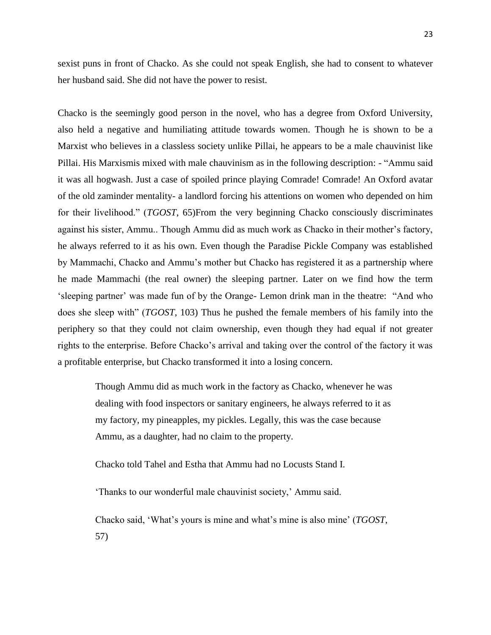sexist puns in front of Chacko. As she could not speak English, she had to consent to whatever her husband said. She did not have the power to resist.

Chacko is the seemingly good person in the novel, who has a degree from Oxford University, also held a negative and humiliating attitude towards women. Though he is shown to be a Marxist who believes in a classless society unlike Pillai, he appears to be a male chauvinist like Pillai. His Marxismis mixed with male chauvinism as in the following description: - "Ammu said it was all hogwash. Just a case of spoiled prince playing Comrade! Comrade! An Oxford avatar of the old zaminder mentality- a landlord forcing his attentions on women who depended on him for their livelihood.‖ (*TGOST*, 65)From the very beginning Chacko consciously discriminates against his sister, Ammu.. Though Ammu did as much work as Chacko in their mother's factory, he always referred to it as his own. Even though the Paradise Pickle Company was established by Mammachi, Chacko and Ammu's mother but Chacko has registered it as a partnership where he made Mammachi (the real owner) the sleeping partner. Later on we find how the term ‗sleeping partner' was made fun of by the Orange- Lemon drink man in the theatre: ―And who does she sleep with" (*TGOST*, 103) Thus he pushed the female members of his family into the periphery so that they could not claim ownership, even though they had equal if not greater rights to the enterprise. Before Chacko's arrival and taking over the control of the factory it was a profitable enterprise, but Chacko transformed it into a losing concern.

Though Ammu did as much work in the factory as Chacko, whenever he was dealing with food inspectors or sanitary engineers, he always referred to it as my factory, my pineapples, my pickles. Legally, this was the case because Ammu, as a daughter, had no claim to the property.

Chacko told Tahel and Estha that Ammu had no Locusts Stand I.

‗Thanks to our wonderful male chauvinist society,' Ammu said.

Chacko said, ‗What's yours is mine and what's mine is also mine' (*TGOST*, 57)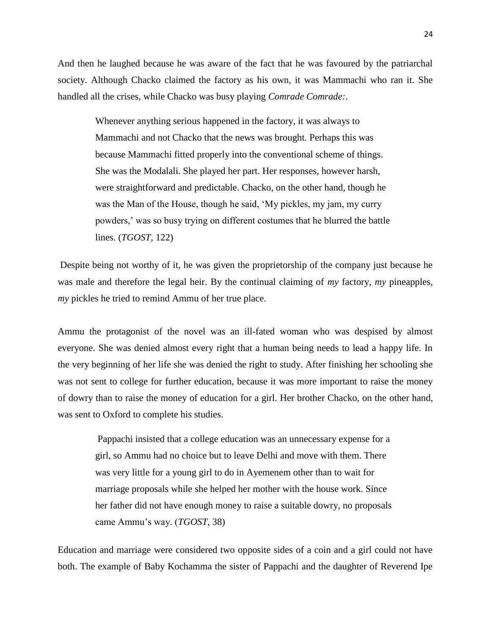And then he laughed because he was aware of the fact that he was favoured by the patriarchal society. Although Chacko claimed the factory as his own, it was Mammachi who ran it. She handled all the crises, while Chacko was busy playing *Comrade Comrade:*.

> Whenever anything serious happened in the factory, it was always to Mammachi and not Chacko that the news was brought. Perhaps this was because Mammachi fitted properly into the conventional scheme of things. She was the Modalali. She played her part. Her responses, however harsh, were straightforward and predictable. Chacko, on the other hand, though he was the Man of the House, though he said, 'My pickles, my jam, my curry powders,' was so busy trying on different costumes that he blurred the battle lines. (*TGOST*, 122)

Despite being not worthy of it, he was given the proprietorship of the company just because he was male and therefore the legal heir. By the continual claiming of *my* factory, *my* pineapples, *my* pickles he tried to remind Ammu of her true place.

Ammu the protagonist of the novel was an ill-fated woman who was despised by almost everyone. She was denied almost every right that a human being needs to lead a happy life. In the very beginning of her life she was denied the right to study. After finishing her schooling she was not sent to college for further education, because it was more important to raise the money of dowry than to raise the money of education for a girl. Her brother Chacko, on the other hand, was sent to Oxford to complete his studies.

Pappachi insisted that a college education was an unnecessary expense for a girl, so Ammu had no choice but to leave Delhi and move with them. There was very little for a young girl to do in Ayemenem other than to wait for marriage proposals while she helped her mother with the house work. Since her father did not have enough money to raise a suitable dowry, no proposals came Ammu's way. (*TGOST*, 38)

Education and marriage were considered two opposite sides of a coin and a girl could not have both. The example of Baby Kochamma the sister of Pappachi and the daughter of Reverend Ipe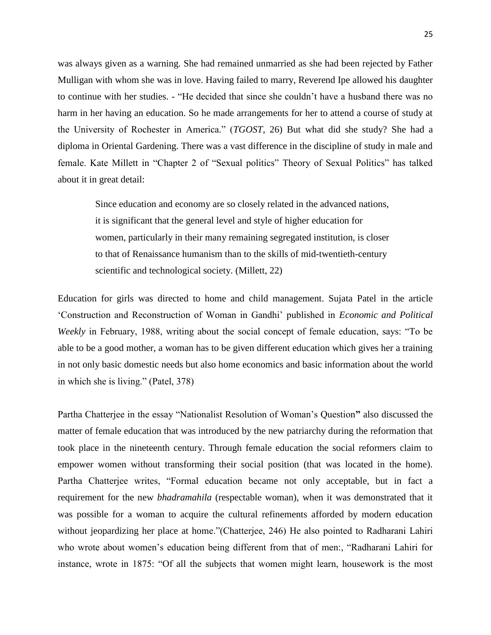was always given as a warning. She had remained unmarried as she had been rejected by Father Mulligan with whom she was in love. Having failed to marry, Reverend Ipe allowed his daughter to continue with her studies. - "He decided that since she couldn't have a husband there was no harm in her having an education. So he made arrangements for her to attend a course of study at the University of Rochester in America.‖ (*TGOST*, 26) But what did she study? She had a diploma in Oriental Gardening. There was a vast difference in the discipline of study in male and female. Kate Millett in "Chapter 2 of "Sexual politics" Theory of Sexual Politics" has talked about it in great detail:

Since education and economy are so closely related in the advanced nations, it is significant that the general level and style of higher education for women, particularly in their many remaining segregated institution, is closer to that of Renaissance humanism than to the skills of mid-twentieth-century scientific and technological society. (Millett, 22)

Education for girls was directed to home and child management. Sujata Patel in the article ‗Construction and Reconstruction of Woman in Gandhi' published in *Economic and Political Weekly* in February, 1988, writing about the social concept of female education, says: "To be able to be a good mother, a woman has to be given different education which gives her a training in not only basic domestic needs but also home economics and basic information about the world in which she is living." (Patel, 378)

Partha Chatterjee in the essay "Nationalist Resolution of Woman's Question" also discussed the matter of female education that was introduced by the new patriarchy during the reformation that took place in the nineteenth century. Through female education the social reformers claim to empower women without transforming their social position (that was located in the home). Partha Chatterjee writes, "Formal education became not only acceptable, but in fact a requirement for the new *bhadramahila* (respectable woman), when it was demonstrated that it was possible for a woman to acquire the cultural refinements afforded by modern education without jeopardizing her place at home."(Chatterjee, 246) He also pointed to Radharani Lahiri who wrote about women's education being different from that of men:, "Radharani Lahiri for instance, wrote in 1875: "Of all the subjects that women might learn, housework is the most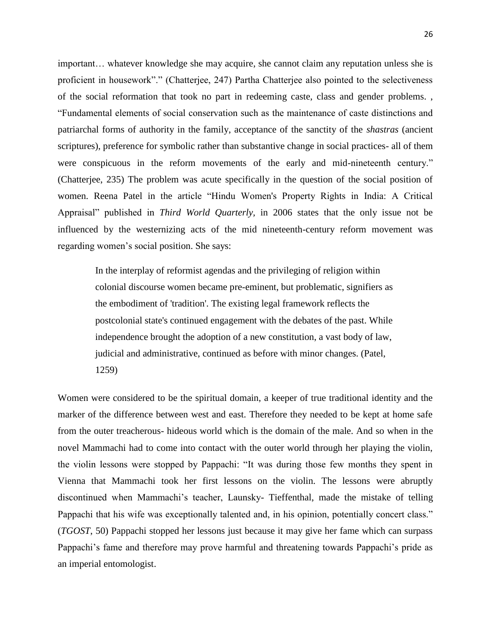important… whatever knowledge she may acquire, she cannot claim any reputation unless she is proficient in housework"." (Chatterjee, 247) Partha Chatterjee also pointed to the selectiveness of the social reformation that took no part in redeeming caste, class and gender problems. , ―Fundamental elements of social conservation such as the maintenance of caste distinctions and patriarchal forms of authority in the family, acceptance of the sanctity of the *shastras* (ancient scriptures), preference for symbolic rather than substantive change in social practices- all of them were conspicuous in the reform movements of the early and mid-nineteenth century." (Chatterjee, 235) The problem was acute specifically in the question of the social position of women. Reena Patel in the article "Hindu Women's Property Rights in India: A Critical Appraisal" published in *Third World Quarterly*, in 2006 states that the only issue not be influenced by the westernizing acts of the mid nineteenth-century reform movement was regarding women's social position. She says:

In the interplay of reformist agendas and the privileging of religion within colonial discourse women became pre-eminent, but problematic, signifiers as the embodiment of 'tradition'. The existing legal framework reflects the postcolonial state's continued engagement with the debates of the past. While independence brought the adoption of a new constitution, a vast body of law, judicial and administrative, continued as before with minor changes. (Patel, 1259)

Women were considered to be the spiritual domain, a keeper of true traditional identity and the marker of the difference between west and east. Therefore they needed to be kept at home safe from the outer treacherous- hideous world which is the domain of the male. And so when in the novel Mammachi had to come into contact with the outer world through her playing the violin, the violin lessons were stopped by Pappachi: "It was during those few months they spent in Vienna that Mammachi took her first lessons on the violin. The lessons were abruptly discontinued when Mammachi's teacher, Launsky- Tieffenthal, made the mistake of telling Pappachi that his wife was exceptionally talented and, in his opinion, potentially concert class." (*TGOST*, 50) Pappachi stopped her lessons just because it may give her fame which can surpass Pappachi's fame and therefore may prove harmful and threatening towards Pappachi's pride as an imperial entomologist.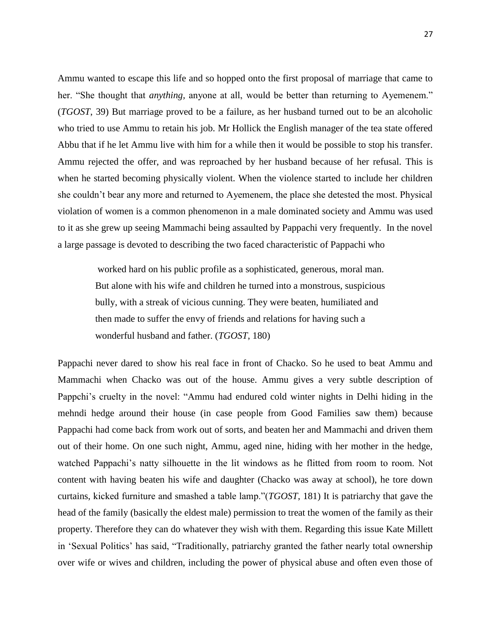Ammu wanted to escape this life and so hopped onto the first proposal of marriage that came to her. "She thought that *anything*, anyone at all, would be better than returning to Ayemenem." (*TGOST*, 39) But marriage proved to be a failure, as her husband turned out to be an alcoholic who tried to use Ammu to retain his job. Mr Hollick the English manager of the tea state offered Abbu that if he let Ammu live with him for a while then it would be possible to stop his transfer. Ammu rejected the offer, and was reproached by her husband because of her refusal. This is when he started becoming physically violent. When the violence started to include her children she couldn't bear any more and returned to Ayemenem, the place she detested the most. Physical violation of women is a common phenomenon in a male dominated society and Ammu was used to it as she grew up seeing Mammachi being assaulted by Pappachi very frequently. In the novel a large passage is devoted to describing the two faced characteristic of Pappachi who

worked hard on his public profile as a sophisticated, generous, moral man. But alone with his wife and children he turned into a monstrous, suspicious bully, with a streak of vicious cunning. They were beaten, humiliated and then made to suffer the envy of friends and relations for having such a wonderful husband and father. (*TGOST*, 180)

Pappachi never dared to show his real face in front of Chacko. So he used to beat Ammu and Mammachi when Chacko was out of the house. Ammu gives a very subtle description of Pappchi's cruelty in the novel: "Ammu had endured cold winter nights in Delhi hiding in the mehndi hedge around their house (in case people from Good Families saw them) because Pappachi had come back from work out of sorts, and beaten her and Mammachi and driven them out of their home. On one such night, Ammu, aged nine, hiding with her mother in the hedge, watched Pappachi's natty silhouette in the lit windows as he flitted from room to room. Not content with having beaten his wife and daughter (Chacko was away at school), he tore down curtains, kicked furniture and smashed a table lamp."(*TGOST*, 181) It is patriarchy that gave the head of the family (basically the eldest male) permission to treat the women of the family as their property. Therefore they can do whatever they wish with them. Regarding this issue Kate Millett in 'Sexual Politics' has said, "Traditionally, patriarchy granted the father nearly total ownership over wife or wives and children, including the power of physical abuse and often even those of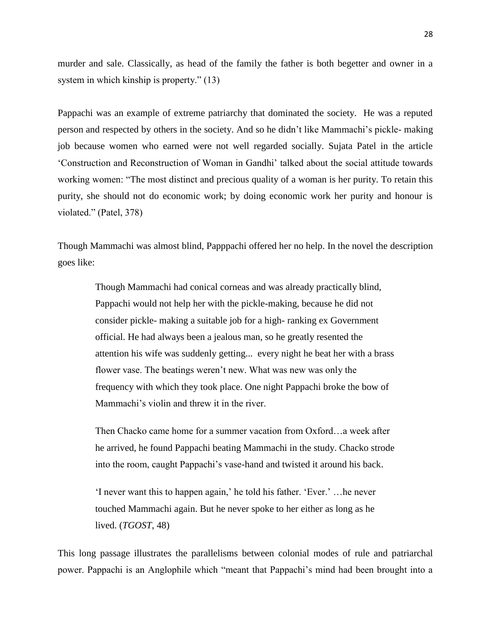murder and sale. Classically, as head of the family the father is both begetter and owner in a system in which kinship is property."  $(13)$ 

Pappachi was an example of extreme patriarchy that dominated the society. He was a reputed person and respected by others in the society. And so he didn't like Mammachi's pickle- making job because women who earned were not well regarded socially. Sujata Patel in the article ‗Construction and Reconstruction of Woman in Gandhi' talked about the social attitude towards working women: "The most distinct and precious quality of a woman is her purity. To retain this purity, she should not do economic work; by doing economic work her purity and honour is violated." (Patel, 378)

Though Mammachi was almost blind, Papppachi offered her no help. In the novel the description goes like:

Though Mammachi had conical corneas and was already practically blind, Pappachi would not help her with the pickle-making, because he did not consider pickle- making a suitable job for a high- ranking ex Government official. He had always been a jealous man, so he greatly resented the attention his wife was suddenly getting... every night he beat her with a brass flower vase. The beatings weren't new. What was new was only the frequency with which they took place. One night Pappachi broke the bow of Mammachi's violin and threw it in the river.

Then Chacko came home for a summer vacation from Oxford…a week after he arrived, he found Pappachi beating Mammachi in the study. Chacko strode into the room, caught Pappachi's vase-hand and twisted it around his back.

‗I never want this to happen again,' he told his father. ‗Ever.' …he never touched Mammachi again. But he never spoke to her either as long as he lived. (*TGOST*, 48)

This long passage illustrates the parallelisms between colonial modes of rule and patriarchal power. Pappachi is an Anglophile which "meant that Pappachi's mind had been brought into a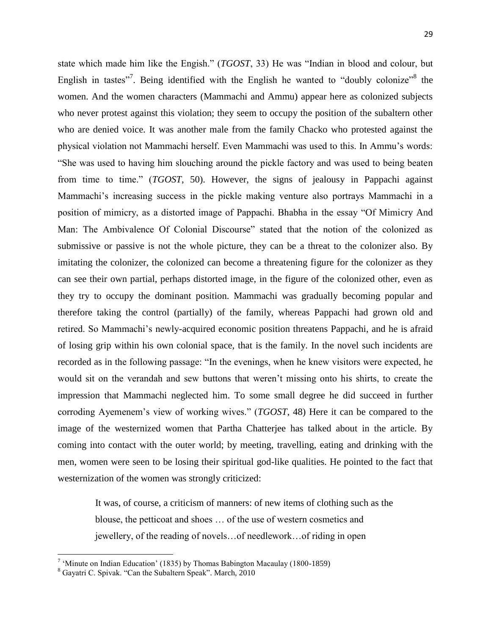state which made him like the Engish." (*TGOST*, 33) He was "Indian in blood and colour, but English in tastes"<sup>7</sup>. Being identified with the English he wanted to "doubly colonize"<sup>8</sup> the women. And the women characters (Mammachi and Ammu) appear here as colonized subjects who never protest against this violation; they seem to occupy the position of the subaltern other who are denied voice. It was another male from the family Chacko who protested against the physical violation not Mammachi herself. Even Mammachi was used to this. In Ammu's words: ―She was used to having him slouching around the pickle factory and was used to being beaten from time to time." (*TGOST*, 50). However, the signs of jealousy in Pappachi against Mammachi's increasing success in the pickle making venture also portrays Mammachi in a position of mimicry, as a distorted image of Pappachi. Bhabha in the essay "Of Mimicry And Man: The Ambivalence Of Colonial Discourse" stated that the notion of the colonized as submissive or passive is not the whole picture, they can be a threat to the colonizer also. By imitating the colonizer, the colonized can become a threatening figure for the colonizer as they can see their own partial, perhaps distorted image, in the figure of the colonized other, even as they try to occupy the dominant position. Mammachi was gradually becoming popular and therefore taking the control (partially) of the family, whereas Pappachi had grown old and retired. So Mammachi's newly-acquired economic position threatens Pappachi, and he is afraid of losing grip within his own colonial space, that is the family. In the novel such incidents are recorded as in the following passage: "In the evenings, when he knew visitors were expected, he would sit on the verandah and sew buttons that weren't missing onto his shirts, to create the impression that Mammachi neglected him. To some small degree he did succeed in further

corroding Ayemenem's view of working wives.‖ (*TGOST*, 48) Here it can be compared to the image of the westernized women that Partha Chatterjee has talked about in the article. By coming into contact with the outer world; by meeting, travelling, eating and drinking with the men, women were seen to be losing their spiritual god-like qualities. He pointed to the fact that westernization of the women was strongly criticized:

It was, of course, a criticism of manners: of new items of clothing such as the blouse, the petticoat and shoes … of the use of western cosmetics and jewellery, of the reading of novels…of needlework…of riding in open

<sup>&</sup>lt;sup>7</sup> 'Minute on Indian Education' (1835) by Thomas Babington Macaulay (1800-1859)

<sup>&</sup>lt;sup>8</sup> Gayatri C. Spivak. "Can the Subaltern Speak". March, 2010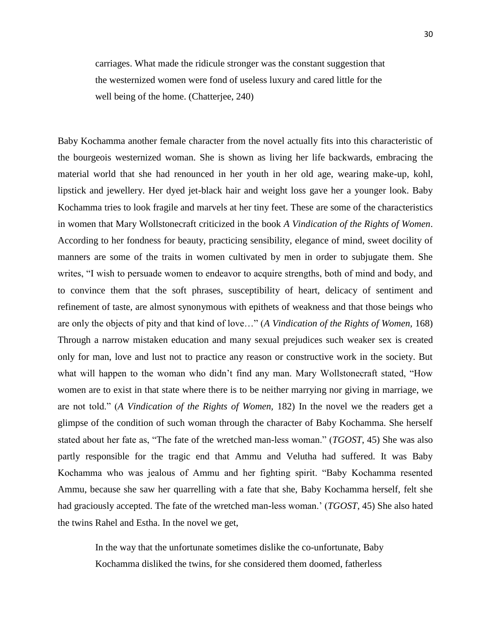carriages. What made the ridicule stronger was the constant suggestion that the westernized women were fond of useless luxury and cared little for the well being of the home. (Chatterjee, 240)

Baby Kochamma another female character from the novel actually fits into this characteristic of the bourgeois westernized woman. She is shown as living her life backwards, embracing the material world that she had renounced in her youth in her old age, wearing make-up, kohl, lipstick and jewellery. Her dyed jet-black hair and weight loss gave her a younger look. Baby Kochamma tries to look fragile and marvels at her tiny feet. These are some of the characteristics in women that Mary Wollstonecraft criticized in the book *A Vindication of the Rights of Women*. According to her fondness for beauty, practicing sensibility, elegance of mind, sweet docility of manners are some of the traits in women cultivated by men in order to subjugate them. She writes, "I wish to persuade women to endeavor to acquire strengths, both of mind and body, and to convince them that the soft phrases, susceptibility of heart, delicacy of sentiment and refinement of taste, are almost synonymous with epithets of weakness and that those beings who are only the objects of pity and that kind of love…‖ (*A Vindication of the Rights of Women,* 168) Through a narrow mistaken education and many sexual prejudices such weaker sex is created only for man, love and lust not to practice any reason or constructive work in the society. But what will happen to the woman who didn't find any man. Mary Wollstonecraft stated, "How women are to exist in that state where there is to be neither marrying nor giving in marriage, we are not told.‖ (*A Vindication of the Rights of Women,* 182) In the novel we the readers get a glimpse of the condition of such woman through the character of Baby Kochamma. She herself stated about her fate as, "The fate of the wretched man-less woman." (*TGOST*, 45) She was also partly responsible for the tragic end that Ammu and Velutha had suffered. It was Baby Kochamma who was jealous of Ammu and her fighting spirit. "Baby Kochamma resented Ammu, because she saw her quarrelling with a fate that she, Baby Kochamma herself, felt she had graciously accepted. The fate of the wretched man-less woman.' (*TGOST*, 45) She also hated the twins Rahel and Estha. In the novel we get,

In the way that the unfortunate sometimes dislike the co-unfortunate, Baby Kochamma disliked the twins, for she considered them doomed, fatherless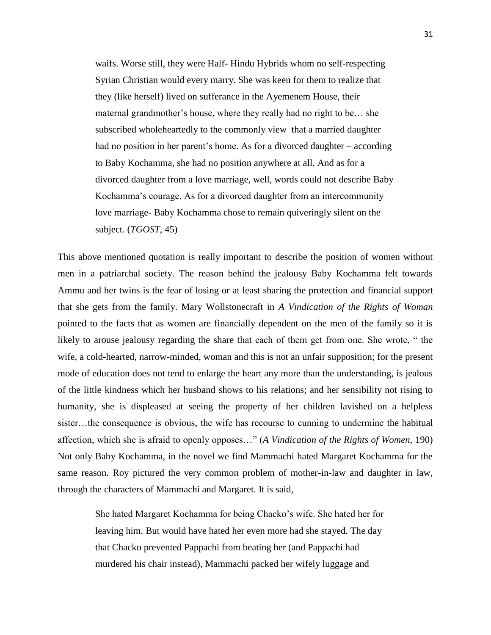waifs. Worse still, they were Half- Hindu Hybrids whom no self-respecting Syrian Christian would every marry. She was keen for them to realize that they (like herself) lived on sufferance in the Ayemenem House, their maternal grandmother's house, where they really had no right to be… she subscribed wholeheartedly to the commonly view that a married daughter had no position in her parent's home. As for a divorced daughter – according to Baby Kochamma, she had no position anywhere at all. And as for a divorced daughter from a love marriage, well, words could not describe Baby Kochamma's courage. As for a divorced daughter from an intercommunity love marriage- Baby Kochamma chose to remain quiveringly silent on the subject. (*TGOST*, 45)

This above mentioned quotation is really important to describe the position of women without men in a patriarchal society. The reason behind the jealousy Baby Kochamma felt towards Ammu and her twins is the fear of losing or at least sharing the protection and financial support that she gets from the family. Mary Wollstonecraft in *A Vindication of the Rights of Woman* pointed to the facts that as women are financially dependent on the men of the family so it is likely to arouse jealousy regarding the share that each of them get from one. She wrote, "the wife, a cold-hearted, narrow-minded, woman and this is not an unfair supposition; for the present mode of education does not tend to enlarge the heart any more than the understanding, is jealous of the little kindness which her husband shows to his relations; and her sensibility not rising to humanity, she is displeased at seeing the property of her children lavished on a helpless sister…the consequence is obvious, the wife has recourse to cunning to undermine the habitual affection, which she is afraid to openly opposes…‖ (*A Vindication of the Rights of Women,* 190) Not only Baby Kochamma, in the novel we find Mammachi hated Margaret Kochamma for the same reason. Roy pictured the very common problem of mother-in-law and daughter in law, through the characters of Mammachi and Margaret. It is said,

She hated Margaret Kochamma for being Chacko's wife. She hated her for leaving him. But would have hated her even more had she stayed. The day that Chacko prevented Pappachi from beating her (and Pappachi had murdered his chair instead), Mammachi packed her wifely luggage and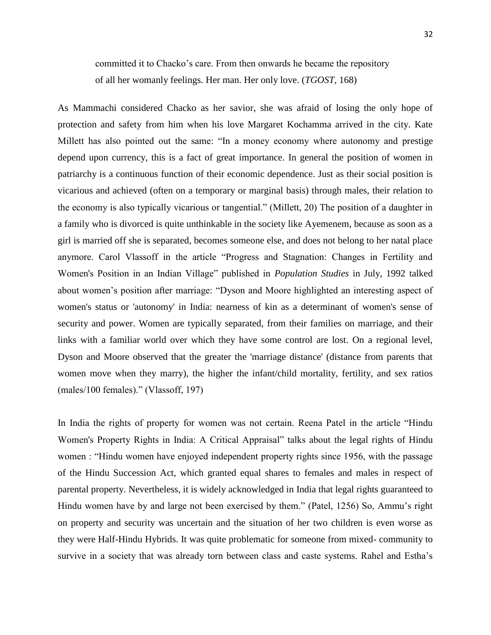committed it to Chacko's care. From then onwards he became the repository of all her womanly feelings. Her man. Her only love. (*TGOST*, 168)

As Mammachi considered Chacko as her savior, she was afraid of losing the only hope of protection and safety from him when his love Margaret Kochamma arrived in the city. Kate Millett has also pointed out the same: "In a money economy where autonomy and prestige depend upon currency, this is a fact of great importance. In general the position of women in patriarchy is a continuous function of their economic dependence. Just as their social position is vicarious and achieved (often on a temporary or marginal basis) through males, their relation to the economy is also typically vicarious or tangential." (Millett, 20) The position of a daughter in a family who is divorced is quite unthinkable in the society like Ayemenem, because as soon as a girl is married off she is separated, becomes someone else, and does not belong to her natal place anymore. Carol Vlassoff in the article "Progress and Stagnation: Changes in Fertility and Women's Position in an Indian Village" published in *Population Studies* in July, 1992 talked about women's position after marriage: "Dyson and Moore highlighted an interesting aspect of women's status or 'autonomy' in India: nearness of kin as a determinant of women's sense of security and power. Women are typically separated, from their families on marriage, and their links with a familiar world over which they have some control are lost. On a regional level, Dyson and Moore observed that the greater the 'marriage distance' (distance from parents that women move when they marry), the higher the infant/child mortality, fertility, and sex ratios (males/100 females)." (Vlassoff, 197)

In India the rights of property for women was not certain. Reena Patel in the article "Hindu Women's Property Rights in India: A Critical Appraisal" talks about the legal rights of Hindu women : "Hindu women have enjoyed independent property rights since 1956, with the passage of the Hindu Succession Act, which granted equal shares to females and males in respect of parental property. Nevertheless, it is widely acknowledged in India that legal rights guaranteed to Hindu women have by and large not been exercised by them." (Patel, 1256) So, Ammu's right on property and security was uncertain and the situation of her two children is even worse as they were Half-Hindu Hybrids. It was quite problematic for someone from mixed- community to survive in a society that was already torn between class and caste systems. Rahel and Estha's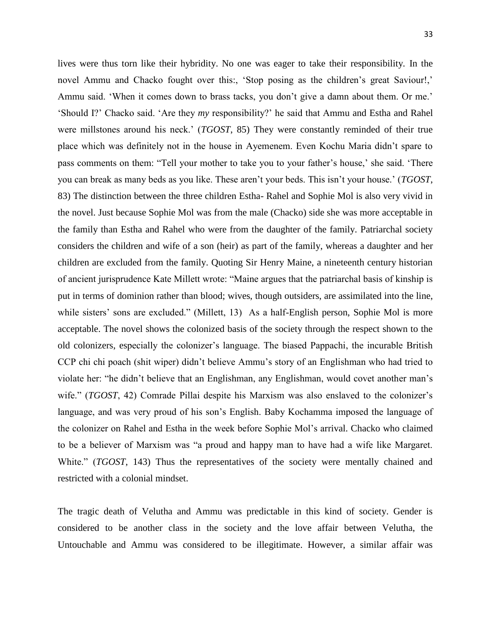lives were thus torn like their hybridity. No one was eager to take their responsibility. In the novel Ammu and Chacko fought over this:, 'Stop posing as the children's great Saviour!,' Ammu said. ‗When it comes down to brass tacks, you don't give a damn about them. Or me.' ‗Should I?' Chacko said. ‗Are they *my* responsibility?' he said that Ammu and Estha and Rahel were millstones around his neck.' (*TGOST*, 85) They were constantly reminded of their true place which was definitely not in the house in Ayemenem. Even Kochu Maria didn't spare to pass comments on them: "Tell your mother to take you to your father's house,' she said. 'There you can break as many beds as you like. These aren't your beds. This isn't your house.' (*TGOST*, 83) The distinction between the three children Estha- Rahel and Sophie Mol is also very vivid in the novel. Just because Sophie Mol was from the male (Chacko) side she was more acceptable in the family than Estha and Rahel who were from the daughter of the family. Patriarchal society considers the children and wife of a son (heir) as part of the family, whereas a daughter and her children are excluded from the family. Quoting Sir Henry Maine, a nineteenth century historian of ancient jurisprudence Kate Millett wrote: "Maine argues that the patriarchal basis of kinship is put in terms of dominion rather than blood; wives, though outsiders, are assimilated into the line, while sisters' sons are excluded." (Millett, 13) As a half-English person, Sophie Mol is more acceptable. The novel shows the colonized basis of the society through the respect shown to the old colonizers, especially the colonizer's language. The biased Pappachi, the incurable British CCP chi chi poach (shit wiper) didn't believe Ammu's story of an Englishman who had tried to violate her: "he didn't believe that an Englishman, any Englishman, would covet another man's wife." (*TGOST*, 42) Comrade Pillai despite his Marxism was also enslaved to the colonizer's language, and was very proud of his son's English. Baby Kochamma imposed the language of the colonizer on Rahel and Estha in the week before Sophie Mol's arrival. Chacko who claimed to be a believer of Marxism was "a proud and happy man to have had a wife like Margaret. White." (*TGOST*, 143) Thus the representatives of the society were mentally chained and restricted with a colonial mindset.

The tragic death of Velutha and Ammu was predictable in this kind of society. Gender is considered to be another class in the society and the love affair between Velutha, the Untouchable and Ammu was considered to be illegitimate. However, a similar affair was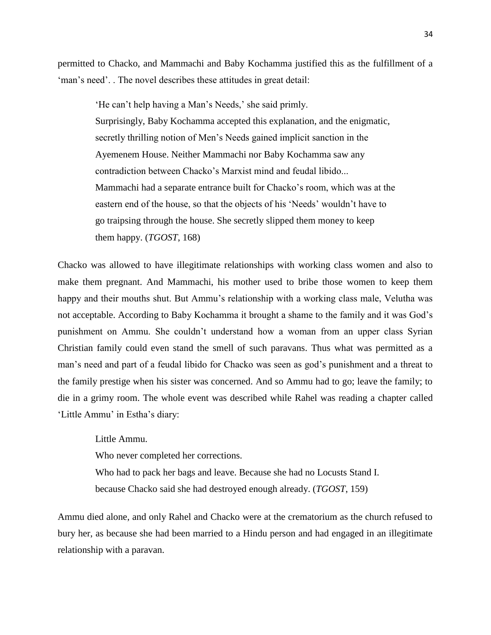permitted to Chacko, and Mammachi and Baby Kochamma justified this as the fulfillment of a ‗man's need'. . The novel describes these attitudes in great detail:

‗He can't help having a Man's Needs,' she said primly. Surprisingly, Baby Kochamma accepted this explanation, and the enigmatic, secretly thrilling notion of Men's Needs gained implicit sanction in the Ayemenem House. Neither Mammachi nor Baby Kochamma saw any contradiction between Chacko's Marxist mind and feudal libido... Mammachi had a separate entrance built for Chacko's room, which was at the eastern end of the house, so that the objects of his 'Needs' wouldn't have to go traipsing through the house. She secretly slipped them money to keep them happy. (*TGOST*, 168)

Chacko was allowed to have illegitimate relationships with working class women and also to make them pregnant. And Mammachi, his mother used to bribe those women to keep them happy and their mouths shut. But Ammu's relationship with a working class male, Velutha was not acceptable. According to Baby Kochamma it brought a shame to the family and it was God's punishment on Ammu. She couldn't understand how a woman from an upper class Syrian Christian family could even stand the smell of such paravans. Thus what was permitted as a man's need and part of a feudal libido for Chacko was seen as god's punishment and a threat to the family prestige when his sister was concerned. And so Ammu had to go; leave the family; to die in a grimy room. The whole event was described while Rahel was reading a chapter called ‗Little Ammu' in Estha's diary:

Little Ammu. Who never completed her corrections. Who had to pack her bags and leave. Because she had no Locusts Stand I. because Chacko said she had destroyed enough already. (*TGOST*, 159)

Ammu died alone, and only Rahel and Chacko were at the crematorium as the church refused to bury her, as because she had been married to a Hindu person and had engaged in an illegitimate relationship with a paravan.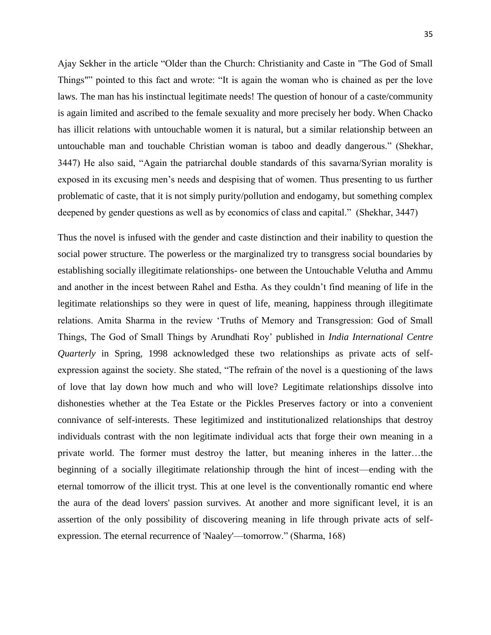Ajay Sekher in the article "Older than the Church: Christianity and Caste in "The God of Small Things"" pointed to this fact and wrote: "It is again the woman who is chained as per the love laws. The man has his instinctual legitimate needs! The question of honour of a caste/community is again limited and ascribed to the female sexuality and more precisely her body. When Chacko has illicit relations with untouchable women it is natural, but a similar relationship between an untouchable man and touchable Christian woman is taboo and deadly dangerous.‖ (Shekhar, 3447) He also said, "Again the patriarchal double standards of this savarna/Syrian morality is exposed in its excusing men's needs and despising that of women. Thus presenting to us further problematic of caste, that it is not simply purity/pollution and endogamy, but something complex deepened by gender questions as well as by economics of class and capital." (Shekhar, 3447)

Thus the novel is infused with the gender and caste distinction and their inability to question the social power structure. The powerless or the marginalized try to transgress social boundaries by establishing socially illegitimate relationships- one between the Untouchable Velutha and Ammu and another in the incest between Rahel and Estha. As they couldn't find meaning of life in the legitimate relationships so they were in quest of life, meaning, happiness through illegitimate relations. Amita Sharma in the review 'Truths of Memory and Transgression: God of Small Things, The God of Small Things by Arundhati Roy' published in *India International Centre Quarterly* in Spring, 1998 acknowledged these two relationships as private acts of selfexpression against the society. She stated, "The refrain of the novel is a questioning of the laws of love that lay down how much and who will love? Legitimate relationships dissolve into dishonesties whether at the Tea Estate or the Pickles Preserves factory or into a convenient connivance of self-interests. These legitimized and institutionalized relationships that destroy individuals contrast with the non legitimate individual acts that forge their own meaning in a private world. The former must destroy the latter, but meaning inheres in the latter…the beginning of a socially illegitimate relationship through the hint of incest—ending with the eternal tomorrow of the illicit tryst. This at one level is the conventionally romantic end where the aura of the dead lovers' passion survives. At another and more significant level, it is an assertion of the only possibility of discovering meaning in life through private acts of selfexpression. The eternal recurrence of 'Naaley'—tomorrow." (Sharma, 168)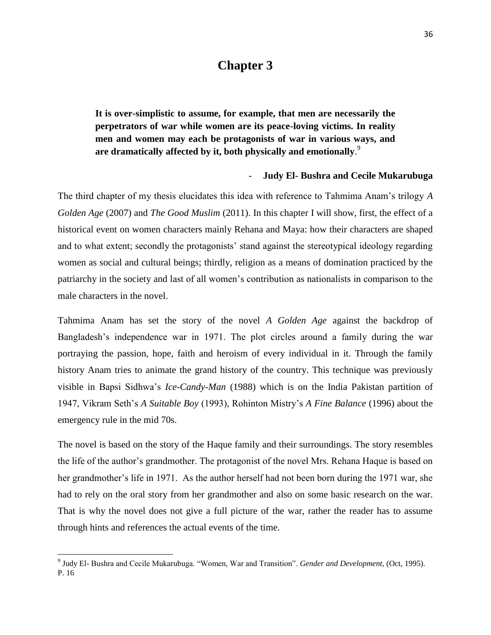### **Chapter 3**

**It is over-simplistic to assume, for example, that men are necessarily the perpetrators of war while women are its peace-loving victims. In reality men and women may each be protagonists of war in various ways, and are dramatically affected by it, both physically and emotionally**. 9

#### - **Judy El- Bushra and Cecile Mukarubuga**

The third chapter of my thesis elucidates this idea with reference to Tahmima Anam's trilogy *A Golden Age* (2007) and *The Good Muslim* (2011). In this chapter I will show, first, the effect of a historical event on women characters mainly Rehana and Maya: how their characters are shaped and to what extent; secondly the protagonists' stand against the stereotypical ideology regarding women as social and cultural beings; thirdly, religion as a means of domination practiced by the patriarchy in the society and last of all women's contribution as nationalists in comparison to the male characters in the novel.

Tahmima Anam has set the story of the novel *A Golden Age* against the backdrop of Bangladesh's independence war in 1971. The plot circles around a family during the war portraying the passion, hope, faith and heroism of every individual in it. Through the family history Anam tries to animate the grand history of the country. This technique was previously visible in Bapsi Sidhwa's *Ice-Candy-Man* (1988) which is on the India Pakistan partition of 1947, Vikram Seth's *A Suitable Boy* (1993), Rohinton Mistry's *A Fine Balance* (1996) about the emergency rule in the mid 70s.

The novel is based on the story of the Haque family and their surroundings. The story resembles the life of the author's grandmother. The protagonist of the novel Mrs. Rehana Haque is based on her grandmother's life in 1971. As the author herself had not been born during the 1971 war, she had to rely on the oral story from her grandmother and also on some basic research on the war. That is why the novel does not give a full picture of the war, rather the reader has to assume through hints and references the actual events of the time.

 $\overline{\phantom{a}}$ 

<sup>&</sup>lt;sup>9</sup> Judy El- Bushra and Cecile Mukarubuga. "Women, War and Transition". *Gender and Development*, (Oct, 1995). P. 16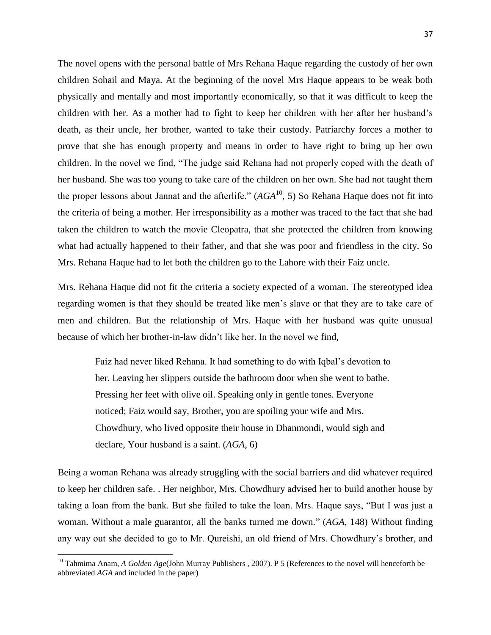The novel opens with the personal battle of Mrs Rehana Haque regarding the custody of her own children Sohail and Maya. At the beginning of the novel Mrs Haque appears to be weak both physically and mentally and most importantly economically, so that it was difficult to keep the children with her. As a mother had to fight to keep her children with her after her husband's death, as their uncle, her brother, wanted to take their custody. Patriarchy forces a mother to prove that she has enough property and means in order to have right to bring up her own children. In the novel we find, "The judge said Rehana had not properly coped with the death of her husband. She was too young to take care of the children on her own. She had not taught them the proper lessons about Jannat and the afterlife."  $(AGA<sup>10</sup>, 5)$  So Rehana Haque does not fit into the criteria of being a mother. Her irresponsibility as a mother was traced to the fact that she had taken the children to watch the movie Cleopatra, that she protected the children from knowing what had actually happened to their father, and that she was poor and friendless in the city. So Mrs. Rehana Haque had to let both the children go to the Lahore with their Faiz uncle.

Mrs. Rehana Haque did not fit the criteria a society expected of a woman. The stereotyped idea regarding women is that they should be treated like men's slave or that they are to take care of men and children. But the relationship of Mrs. Haque with her husband was quite unusual because of which her brother-in-law didn't like her. In the novel we find,

Faiz had never liked Rehana. It had something to do with Iqbal's devotion to her. Leaving her slippers outside the bathroom door when she went to bathe. Pressing her feet with olive oil. Speaking only in gentle tones. Everyone noticed; Faiz would say, Brother, you are spoiling your wife and Mrs. Chowdhury, who lived opposite their house in Dhanmondi, would sigh and declare, Your husband is a saint. (*AGA*, 6)

Being a woman Rehana was already struggling with the social barriers and did whatever required to keep her children safe. . Her neighbor, Mrs. Chowdhury advised her to build another house by taking a loan from the bank. But she failed to take the loan. Mrs. Haque says, "But I was just a woman. Without a male guarantor, all the banks turned me down." (*AGA*, 148) Without finding any way out she decided to go to Mr. Qureishi, an old friend of Mrs. Chowdhury's brother, and

 $\overline{\phantom{a}}$ 

<sup>&</sup>lt;sup>10</sup> Tahmima Anam, *A Golden Age*(John Murray Publishers, 2007). P 5 (References to the novel will henceforth be abbreviated *AGA* and included in the paper)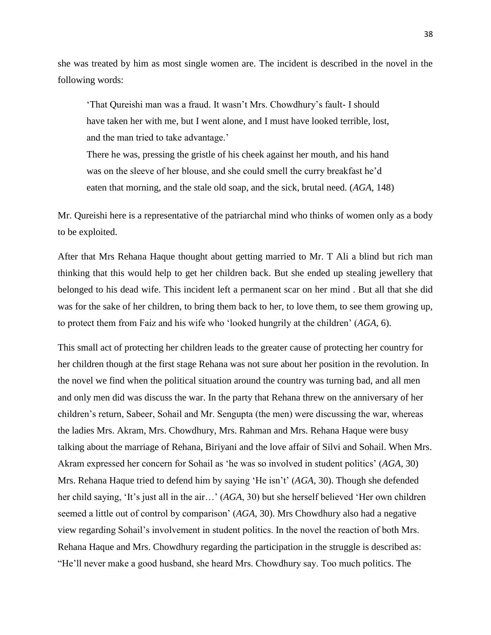she was treated by him as most single women are. The incident is described in the novel in the following words:

‗That Qureishi man was a fraud. It wasn't Mrs. Chowdhury's fault- I should have taken her with me, but I went alone, and I must have looked terrible, lost, and the man tried to take advantage.'

There he was, pressing the gristle of his cheek against her mouth, and his hand was on the sleeve of her blouse, and she could smell the curry breakfast he'd eaten that morning, and the stale old soap, and the sick, brutal need. (*AGA*, 148)

Mr. Qureishi here is a representative of the patriarchal mind who thinks of women only as a body to be exploited.

After that Mrs Rehana Haque thought about getting married to Mr. T Ali a blind but rich man thinking that this would help to get her children back. But she ended up stealing jewellery that belonged to his dead wife. This incident left a permanent scar on her mind . But all that she did was for the sake of her children, to bring them back to her, to love them, to see them growing up, to protect them from Faiz and his wife who ‗looked hungrily at the children' (*AGA*, 6).

This small act of protecting her children leads to the greater cause of protecting her country for her children though at the first stage Rehana was not sure about her position in the revolution. In the novel we find when the political situation around the country was turning bad, and all men and only men did was discuss the war. In the party that Rehana threw on the anniversary of her children's return, Sabeer, Sohail and Mr. Sengupta (the men) were discussing the war, whereas the ladies Mrs. Akram, Mrs. Chowdhury, Mrs. Rahman and Mrs. Rehana Haque were busy talking about the marriage of Rehana, Biriyani and the love affair of Silvi and Sohail. When Mrs. Akram expressed her concern for Sohail as ‗he was so involved in student politics' (*AGA*, 30) Mrs. Rehana Haque tried to defend him by saying ‗He isn't' (*AGA*, 30). Though she defended her child saying, 'It's just all in the air...' (*AGA*, 30) but she herself believed 'Her own children seemed a little out of control by comparison' (*AGA*, 30). Mrs Chowdhury also had a negative view regarding Sohail's involvement in student politics. In the novel the reaction of both Mrs. Rehana Haque and Mrs. Chowdhury regarding the participation in the struggle is described as: ―He'll never make a good husband, she heard Mrs. Chowdhury say. Too much politics. The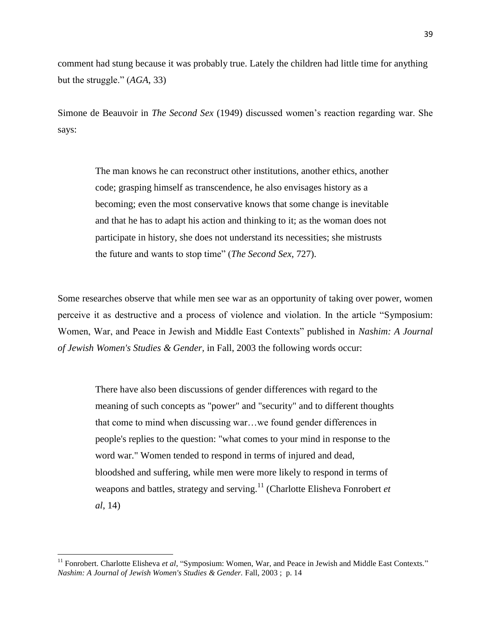comment had stung because it was probably true. Lately the children had little time for anything but the struggle." (*AGA*, 33)

Simone de Beauvoir in *The Second Sex* (1949) discussed women's reaction regarding war. She says:

> The man knows he can reconstruct other institutions, another ethics, another code; grasping himself as transcendence, he also envisages history as a becoming; even the most conservative knows that some change is inevitable and that he has to adapt his action and thinking to it; as the woman does not participate in history, she does not understand its necessities; she mistrusts the future and wants to stop time" (*The Second Sex*, 727).

Some researches observe that while men see war as an opportunity of taking over power, women perceive it as destructive and a process of violence and violation. In the article "Symposium: Women, War, and Peace in Jewish and Middle East Contexts" published in *Nashim: A Journal of Jewish Women's Studies & Gender,* in Fall, 2003 the following words occur:

There have also been discussions of gender differences with regard to the meaning of such concepts as "power" and "security" and to different thoughts that come to mind when discussing war…we found gender differences in people's replies to the question: "what comes to your mind in response to the word war." Women tended to respond in terms of injured and dead, bloodshed and suffering, while men were more likely to respond in terms of weapons and battles, strategy and serving.<sup>11</sup> (Charlotte Elisheva Fonrobert *et al*, 14)

 $\overline{\phantom{a}}$ 

<sup>&</sup>lt;sup>11</sup> Fonrobert. Charlotte Elisheva et al, "Symposium: Women, War, and Peace in Jewish and Middle East Contexts." *Nashim: A Journal of Jewish Women's Studies & Gender.* Fall, 2003 ; p. 14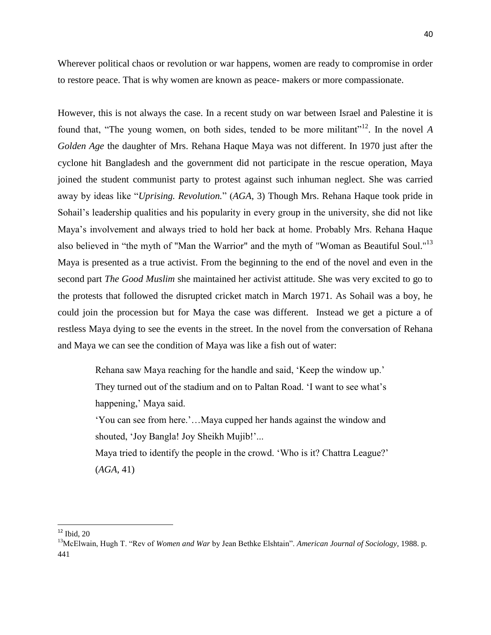40

Wherever political chaos or revolution or war happens, women are ready to compromise in order to restore peace. That is why women are known as peace- makers or more compassionate.

However, this is not always the case. In a recent study on war between Israel and Palestine it is found that, "The young women, on both sides, tended to be more militant"<sup>12</sup>. In the novel A *Golden Age* the daughter of Mrs. Rehana Haque Maya was not different. In 1970 just after the cyclone hit Bangladesh and the government did not participate in the rescue operation, Maya joined the student communist party to protest against such inhuman neglect. She was carried away by ideas like "*Uprising. Revolution.*" (*AGA, 3*) Though Mrs. Rehana Haque took pride in Sohail's leadership qualities and his popularity in every group in the university, she did not like Maya's involvement and always tried to hold her back at home. Probably Mrs. Rehana Haque also believed in "the myth of "Man the Warrior" and the myth of "Woman as Beautiful Soul."<sup>13</sup> Maya is presented as a true activist. From the beginning to the end of the novel and even in the second part *The Good Muslim* she maintained her activist attitude. She was very excited to go to the protests that followed the disrupted cricket match in March 1971. As Sohail was a boy, he could join the procession but for Maya the case was different. Instead we get a picture a of restless Maya dying to see the events in the street. In the novel from the conversation of Rehana and Maya we can see the condition of Maya was like a fish out of water:

Rehana saw Maya reaching for the handle and said, 'Keep the window up.' They turned out of the stadium and on to Paltan Road. ‗I want to see what's happening,' Maya said.

‗You can see from here.'…Maya cupped her hands against the window and shouted, 'Joy Bangla! Joy Sheikh Mujib!'...

Maya tried to identify the people in the crowd. 'Who is it? Chattra League?' (*AGA*, 41)

 $\overline{\phantom{a}}$ 

 $12$  Ibid, 20

<sup>&</sup>lt;sup>13</sup>McElwain, Hugh T. "Rev of *Women and War* by Jean Bethke Elshtain". *American Journal of Sociology*, 1988. p. 441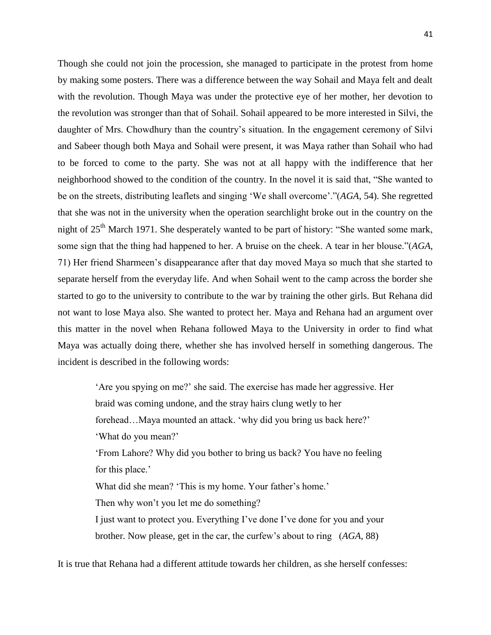Though she could not join the procession, she managed to participate in the protest from home by making some posters. There was a difference between the way Sohail and Maya felt and dealt with the revolution. Though Maya was under the protective eye of her mother, her devotion to the revolution was stronger than that of Sohail. Sohail appeared to be more interested in Silvi, the daughter of Mrs. Chowdhury than the country's situation. In the engagement ceremony of Silvi and Sabeer though both Maya and Sohail were present, it was Maya rather than Sohail who had to be forced to come to the party. She was not at all happy with the indifference that her neighborhood showed to the condition of the country. In the novel it is said that, "She wanted to be on the streets, distributing leaflets and singing 'We shall overcome'."(*AGA*, 54). She regretted that she was not in the university when the operation searchlight broke out in the country on the night of 25<sup>th</sup> March 1971. She desperately wanted to be part of history: "She wanted some mark, some sign that the thing had happened to her. A bruise on the cheek. A tear in her blouse."(*AGA*, 71) Her friend Sharmeen's disappearance after that day moved Maya so much that she started to separate herself from the everyday life. And when Sohail went to the camp across the border she started to go to the university to contribute to the war by training the other girls. But Rehana did not want to lose Maya also. She wanted to protect her. Maya and Rehana had an argument over this matter in the novel when Rehana followed Maya to the University in order to find what Maya was actually doing there, whether she has involved herself in something dangerous. The incident is described in the following words:

> ‗Are you spying on me?' she said. The exercise has made her aggressive. Her braid was coming undone, and the stray hairs clung wetly to her forehead...Maya mounted an attack. 'why did you bring us back here?' ‗What do you mean?' ‗From Lahore? Why did you bother to bring us back? You have no feeling for this place.' What did she mean? 'This is my home. Your father's home.' Then why won't you let me do something? I just want to protect you. Everything I've done I've done for you and your brother. Now please, get in the car, the curfew's about to ring (*AGA*, 88)

It is true that Rehana had a different attitude towards her children, as she herself confesses: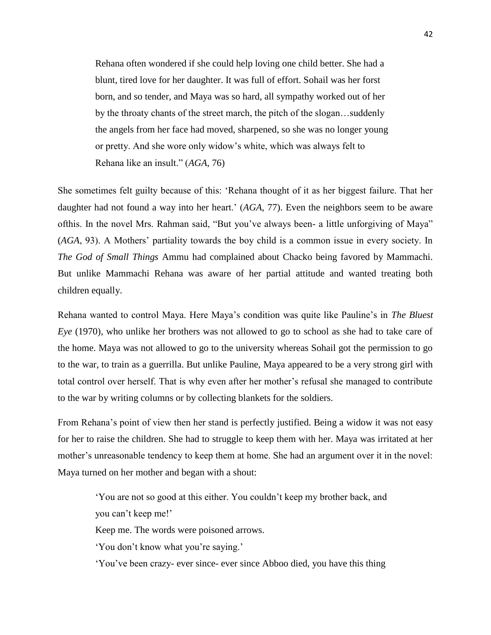Rehana often wondered if she could help loving one child better. She had a blunt, tired love for her daughter. It was full of effort. Sohail was her forst born, and so tender, and Maya was so hard, all sympathy worked out of her by the throaty chants of the street march, the pitch of the slogan…suddenly the angels from her face had moved, sharpened, so she was no longer young or pretty. And she wore only widow's white, which was always felt to Rehana like an insult." (*AGA*, 76)

She sometimes felt guilty because of this: 'Rehana thought of it as her biggest failure. That her daughter had not found a way into her heart.' (*AGA*, 77). Even the neighbors seem to be aware ofthis. In the novel Mrs. Rahman said, "But you've always been- a little unforgiving of Maya" (*AGA*, 93). A Mothers' partiality towards the boy child is a common issue in every society. In *The God of Small Things* Ammu had complained about Chacko being favored by Mammachi. But unlike Mammachi Rehana was aware of her partial attitude and wanted treating both children equally.

Rehana wanted to control Maya. Here Maya's condition was quite like Pauline's in *The Bluest Eye* (1970), who unlike her brothers was not allowed to go to school as she had to take care of the home. Maya was not allowed to go to the university whereas Sohail got the permission to go to the war, to train as a guerrilla. But unlike Pauline, Maya appeared to be a very strong girl with total control over herself. That is why even after her mother's refusal she managed to contribute to the war by writing columns or by collecting blankets for the soldiers.

From Rehana's point of view then her stand is perfectly justified. Being a widow it was not easy for her to raise the children. She had to struggle to keep them with her. Maya was irritated at her mother's unreasonable tendency to keep them at home. She had an argument over it in the novel: Maya turned on her mother and began with a shout:

‗You are not so good at this either. You couldn't keep my brother back, and you can't keep me!'

Keep me. The words were poisoned arrows.

‗You don't know what you're saying.'

‗You've been crazy- ever since- ever since Abboo died, you have this thing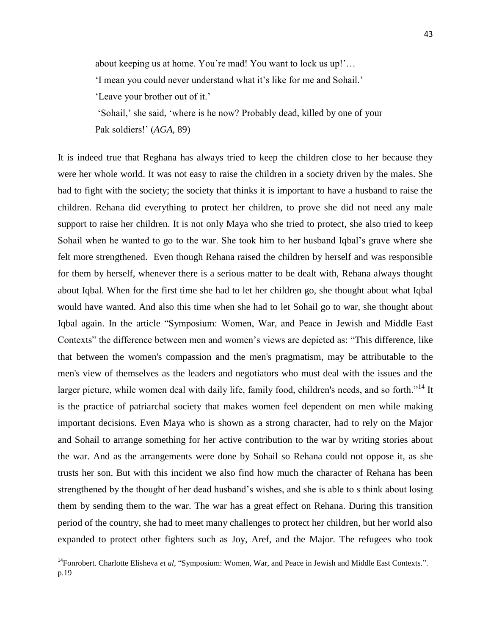about keeping us at home. You're mad! You want to lock us up!'… ‗I mean you could never understand what it's like for me and Sohail.' ‗Leave your brother out of it.'

‗Sohail,' she said, ‗where is he now? Probably dead, killed by one of your Pak soldiers!' (*AGA*, 89)

It is indeed true that Reghana has always tried to keep the children close to her because they were her whole world. It was not easy to raise the children in a society driven by the males. She had to fight with the society; the society that thinks it is important to have a husband to raise the children. Rehana did everything to protect her children, to prove she did not need any male support to raise her children. It is not only Maya who she tried to protect, she also tried to keep Sohail when he wanted to go to the war. She took him to her husband Iqbal's grave where she felt more strengthened. Even though Rehana raised the children by herself and was responsible for them by herself, whenever there is a serious matter to be dealt with, Rehana always thought about Iqbal. When for the first time she had to let her children go, she thought about what Iqbal would have wanted. And also this time when she had to let Sohail go to war, she thought about Iqbal again. In the article "Symposium: Women, War, and Peace in Jewish and Middle East Contexts" the difference between men and women's views are depicted as: "This difference, like that between the women's compassion and the men's pragmatism, may be attributable to the men's view of themselves as the leaders and negotiators who must deal with the issues and the larger picture, while women deal with daily life, family food, children's needs, and so forth."<sup>14</sup> It is the practice of patriarchal society that makes women feel dependent on men while making important decisions. Even Maya who is shown as a strong character, had to rely on the Major and Sohail to arrange something for her active contribution to the war by writing stories about the war. And as the arrangements were done by Sohail so Rehana could not oppose it, as she trusts her son. But with this incident we also find how much the character of Rehana has been strengthened by the thought of her dead husband's wishes, and she is able to s think about losing them by sending them to the war. The war has a great effect on Rehana. During this transition period of the country, she had to meet many challenges to protect her children, but her world also expanded to protect other fighters such as Joy, Aref, and the Major. The refugees who took

l

<sup>&</sup>lt;sup>14</sup>Fonrobert. Charlotte Elisheva *et al*, "Symposium: Women, War, and Peace in Jewish and Middle East Contexts.". p.19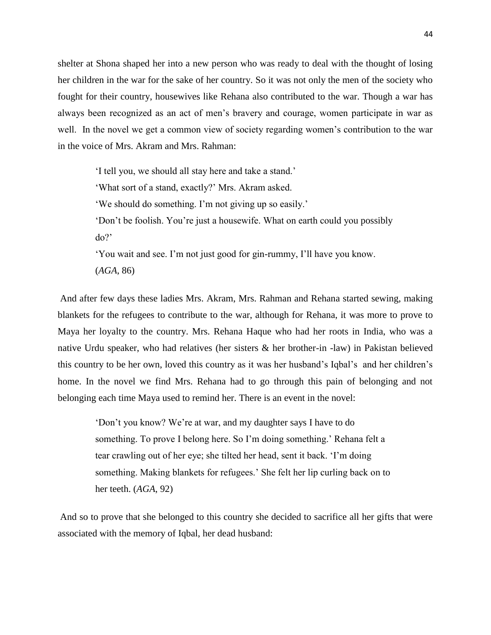shelter at Shona shaped her into a new person who was ready to deal with the thought of losing her children in the war for the sake of her country. So it was not only the men of the society who fought for their country, housewives like Rehana also contributed to the war. Though a war has always been recognized as an act of men's bravery and courage, women participate in war as well. In the novel we get a common view of society regarding women's contribution to the war in the voice of Mrs. Akram and Mrs. Rahman:

> ‗I tell you, we should all stay here and take a stand.' ‗What sort of a stand, exactly?' Mrs. Akram asked. ‗We should do something. I'm not giving up so easily.' ‗Don't be foolish. You're just a housewife. What on earth could you possibly do?' ‗You wait and see. I'm not just good for gin-rummy, I'll have you know. (*AGA*, 86)

And after few days these ladies Mrs. Akram, Mrs. Rahman and Rehana started sewing, making blankets for the refugees to contribute to the war, although for Rehana, it was more to prove to Maya her loyalty to the country. Mrs. Rehana Haque who had her roots in India, who was a native Urdu speaker, who had relatives (her sisters & her brother-in -law) in Pakistan believed this country to be her own, loved this country as it was her husband's Iqbal's and her children's home. In the novel we find Mrs. Rehana had to go through this pain of belonging and not belonging each time Maya used to remind her. There is an event in the novel:

‗Don't you know? We're at war, and my daughter says I have to do something. To prove I belong here. So I'm doing something.' Rehana felt a tear crawling out of her eye; she tilted her head, sent it back. ‗I'm doing something. Making blankets for refugees.' She felt her lip curling back on to her teeth. (*AGA*, 92)

And so to prove that she belonged to this country she decided to sacrifice all her gifts that were associated with the memory of Iqbal, her dead husband: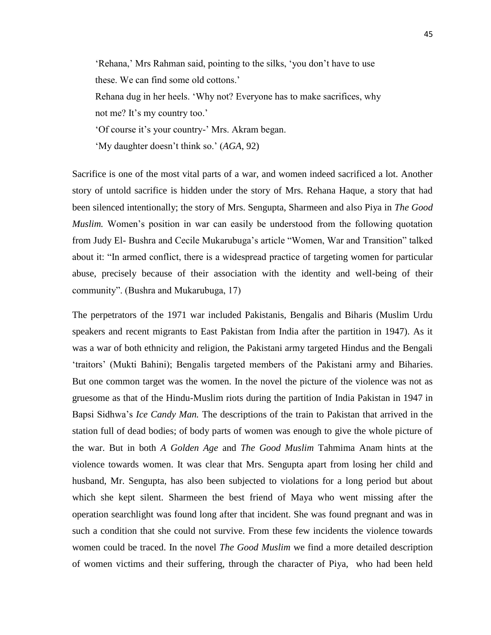'Rehana,' Mrs Rahman said, pointing to the silks, 'you don't have to use these. We can find some old cottons.'

Rehana dug in her heels. 'Why not? Everyone has to make sacrifices, why not me? It's my country too.'

‗Of course it's your country-' Mrs. Akram began.

‗My daughter doesn't think so.' (*AGA*, 92)

Sacrifice is one of the most vital parts of a war, and women indeed sacrificed a lot. Another story of untold sacrifice is hidden under the story of Mrs. Rehana Haque, a story that had been silenced intentionally; the story of Mrs. Sengupta, Sharmeen and also Piya in *The Good Muslim.* Women's position in war can easily be understood from the following quotation from Judy El- Bushra and Cecile Mukarubuga's article "Women, War and Transition" talked about it: "In armed conflict, there is a widespread practice of targeting women for particular abuse, precisely because of their association with the identity and well-being of their community". (Bushra and Mukarubuga, 17)

The perpetrators of the 1971 war included Pakistanis, Bengalis and Biharis (Muslim Urdu speakers and recent migrants to East Pakistan from India after the partition in 1947). As it was a war of both ethnicity and religion, the Pakistani army targeted Hindus and the Bengali ‗traitors' (Mukti Bahini); Bengalis targeted members of the Pakistani army and Biharies. But one common target was the women. In the novel the picture of the violence was not as gruesome as that of the Hindu-Muslim riots during the partition of India Pakistan in 1947 in Bapsi Sidhwa's *Ice Candy Man.* The descriptions of the train to Pakistan that arrived in the station full of dead bodies; of body parts of women was enough to give the whole picture of the war. But in both *A Golden Age* and *The Good Muslim* Tahmima Anam hints at the violence towards women. It was clear that Mrs. Sengupta apart from losing her child and husband, Mr. Sengupta, has also been subjected to violations for a long period but about which she kept silent. Sharmeen the best friend of Maya who went missing after the operation searchlight was found long after that incident. She was found pregnant and was in such a condition that she could not survive. From these few incidents the violence towards women could be traced. In the novel *The Good Muslim* we find a more detailed description of women victims and their suffering, through the character of Piya, who had been held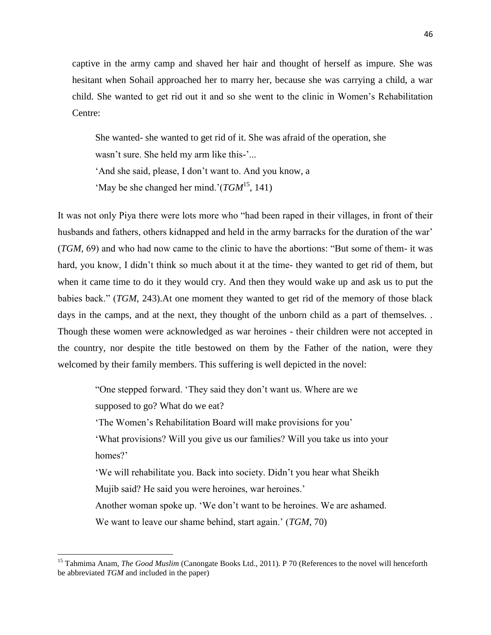captive in the army camp and shaved her hair and thought of herself as impure. She was hesitant when Sohail approached her to marry her, because she was carrying a child, a war child. She wanted to get rid out it and so she went to the clinic in Women's Rehabilitation Centre:

She wanted- she wanted to get rid of it. She was afraid of the operation, she

wasn't sure. She held my arm like this-'...

‗And she said, please, I don't want to. And you know, a

'May be she changed her mind.' $(TGM<sup>15</sup>, 141)$ 

It was not only Piya there were lots more who "had been raped in their villages, in front of their husbands and fathers, others kidnapped and held in the army barracks for the duration of the war' (*TGM*, 69) and who had now came to the clinic to have the abortions: "But some of them- it was hard, you know, I didn't think so much about it at the time- they wanted to get rid of them, but when it came time to do it they would cry. And then they would wake up and ask us to put the babies back.‖ (*TGM*, 243).At one moment they wanted to get rid of the memory of those black days in the camps, and at the next, they thought of the unborn child as a part of themselves. Though these women were acknowledged as war heroines - their children were not accepted in the country, nor despite the title bestowed on them by the Father of the nation, were they welcomed by their family members. This suffering is well depicted in the novel:

―One stepped forward. ‗They said they don't want us. Where are we supposed to go? What do we eat?

‗The Women's Rehabilitation Board will make provisions for you'

‗What provisions? Will you give us our families? Will you take us into your homes?'

‗We will rehabilitate you. Back into society. Didn't you hear what Sheikh Mujib said? He said you were heroines, war heroines.'

Another woman spoke up. 'We don't want to be heroines. We are ashamed.

We want to leave our shame behind, start again.' (*TGM*, 70)

 $\overline{\phantom{a}}$ 

<sup>&</sup>lt;sup>15</sup> Tahmima Anam, *The Good Muslim* (Canongate Books Ltd., 2011). P 70 (References to the novel will henceforth be abbreviated *TGM* and included in the paper)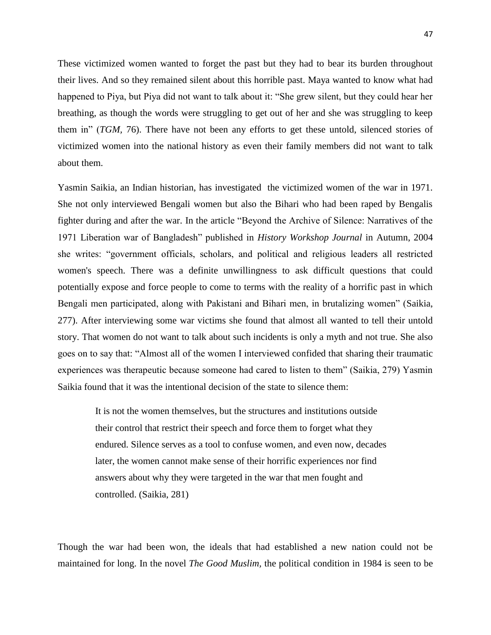These victimized women wanted to forget the past but they had to bear its burden throughout their lives. And so they remained silent about this horrible past. Maya wanted to know what had happened to Piya, but Piya did not want to talk about it: "She grew silent, but they could hear her breathing, as though the words were struggling to get out of her and she was struggling to keep them in" (*TGM*, 76). There have not been any efforts to get these untold, silenced stories of victimized women into the national history as even their family members did not want to talk about them.

Yasmin Saikia, an Indian historian, has investigated the victimized women of the war in 1971. She not only interviewed Bengali women but also the Bihari who had been raped by Bengalis fighter during and after the war. In the article "Beyond the Archive of Silence: Narratives of the 1971 Liberation war of Bangladesh" published in *History Workshop Journal* in Autumn, 2004 she writes: "government officials, scholars, and political and religious leaders all restricted women's speech. There was a definite unwillingness to ask difficult questions that could potentially expose and force people to come to terms with the reality of a horrific past in which Bengali men participated, along with Pakistani and Bihari men, in brutalizing women" (Saikia, 277). After interviewing some war victims she found that almost all wanted to tell their untold story. That women do not want to talk about such incidents is only a myth and not true. She also goes on to say that: "Almost all of the women I interviewed confided that sharing their traumatic experiences was therapeutic because someone had cared to listen to them" (Saikia, 279) Yasmin Saikia found that it was the intentional decision of the state to silence them:

It is not the women themselves, but the structures and institutions outside their control that restrict their speech and force them to forget what they endured. Silence serves as a tool to confuse women, and even now, decades later, the women cannot make sense of their horrific experiences nor find answers about why they were targeted in the war that men fought and controlled. (Saikia, 281)

Though the war had been won, the ideals that had established a new nation could not be maintained for long. In the novel *The Good Muslim,* the political condition in 1984 is seen to be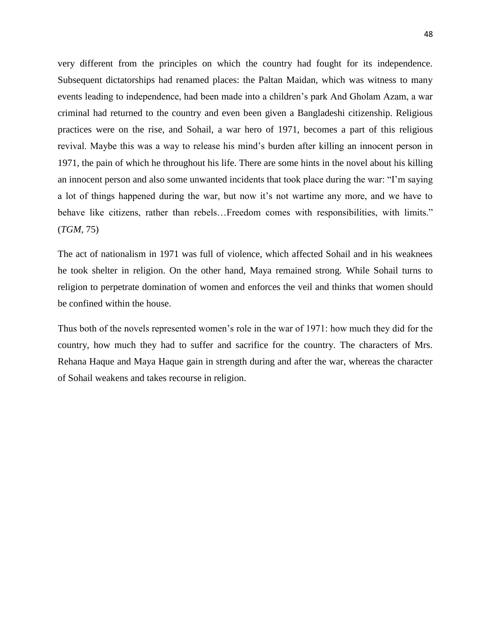very different from the principles on which the country had fought for its independence. Subsequent dictatorships had renamed places: the Paltan Maidan, which was witness to many events leading to independence, had been made into a children's park And Gholam Azam, a war criminal had returned to the country and even been given a Bangladeshi citizenship. Religious practices were on the rise, and Sohail, a war hero of 1971, becomes a part of this religious revival. Maybe this was a way to release his mind's burden after killing an innocent person in 1971, the pain of which he throughout his life. There are some hints in the novel about his killing an innocent person and also some unwanted incidents that took place during the war: "I'm saying a lot of things happened during the war, but now it's not wartime any more, and we have to behave like citizens, rather than rebels...Freedom comes with responsibilities, with limits." (*TGM,* 75)

The act of nationalism in 1971 was full of violence, which affected Sohail and in his weaknees he took shelter in religion. On the other hand, Maya remained strong. While Sohail turns to religion to perpetrate domination of women and enforces the veil and thinks that women should be confined within the house.

Thus both of the novels represented women's role in the war of 1971: how much they did for the country, how much they had to suffer and sacrifice for the country. The characters of Mrs. Rehana Haque and Maya Haque gain in strength during and after the war, whereas the character of Sohail weakens and takes recourse in religion.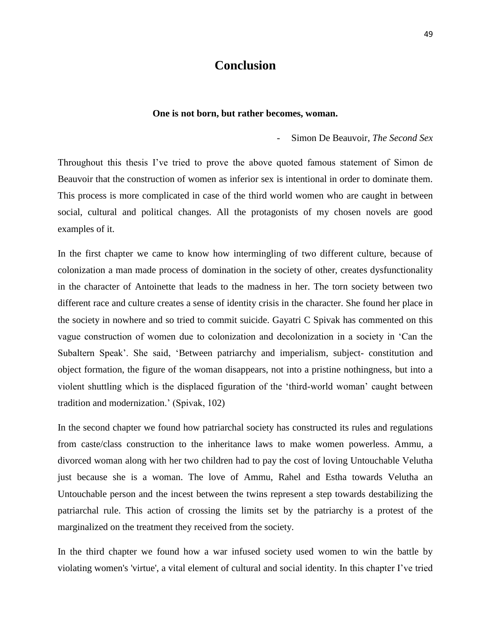### **Conclusion**

#### **One is not born, but rather becomes, woman.**

- Simon De Beauvoir, *The Second Sex*

Throughout this thesis I've tried to prove the above quoted famous statement of Simon de Beauvoir that the construction of women as inferior sex is intentional in order to dominate them. This process is more complicated in case of the third world women who are caught in between social, cultural and political changes. All the protagonists of my chosen novels are good examples of it.

In the first chapter we came to know how intermingling of two different culture, because of colonization a man made process of domination in the society of other, creates dysfunctionality in the character of Antoinette that leads to the madness in her. The torn society between two different race and culture creates a sense of identity crisis in the character. She found her place in the society in nowhere and so tried to commit suicide. Gayatri C Spivak has commented on this vague construction of women due to colonization and decolonization in a society in ‗Can the Subaltern Speak'. She said, 'Between patriarchy and imperialism, subject- constitution and object formation, the figure of the woman disappears, not into a pristine nothingness, but into a violent shuttling which is the displaced figuration of the 'third-world woman' caught between tradition and modernization.' (Spivak, 102)

In the second chapter we found how patriarchal society has constructed its rules and regulations from caste/class construction to the inheritance laws to make women powerless. Ammu, a divorced woman along with her two children had to pay the cost of loving Untouchable Velutha just because she is a woman. The love of Ammu, Rahel and Estha towards Velutha an Untouchable person and the incest between the twins represent a step towards destabilizing the patriarchal rule. This action of crossing the limits set by the patriarchy is a protest of the marginalized on the treatment they received from the society.

In the third chapter we found how a war infused society used women to win the battle by violating women's 'virtue', a vital element of cultural and social identity. In this chapter I've tried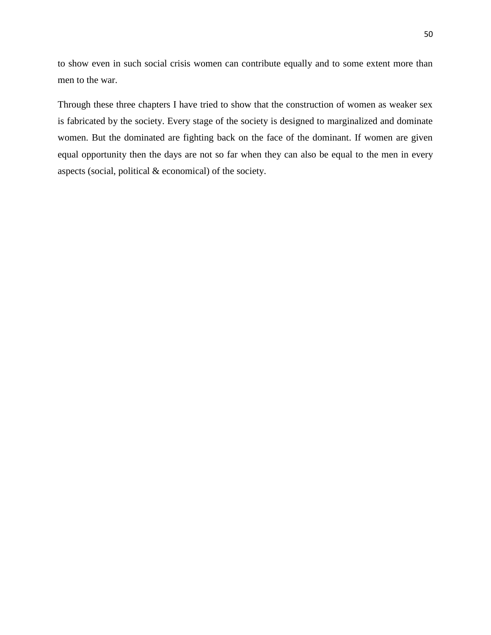to show even in such social crisis women can contribute equally and to some extent more than men to the war.

Through these three chapters I have tried to show that the construction of women as weaker sex is fabricated by the society. Every stage of the society is designed to marginalized and dominate women. But the dominated are fighting back on the face of the dominant. If women are given equal opportunity then the days are not so far when they can also be equal to the men in every aspects (social, political & economical) of the society.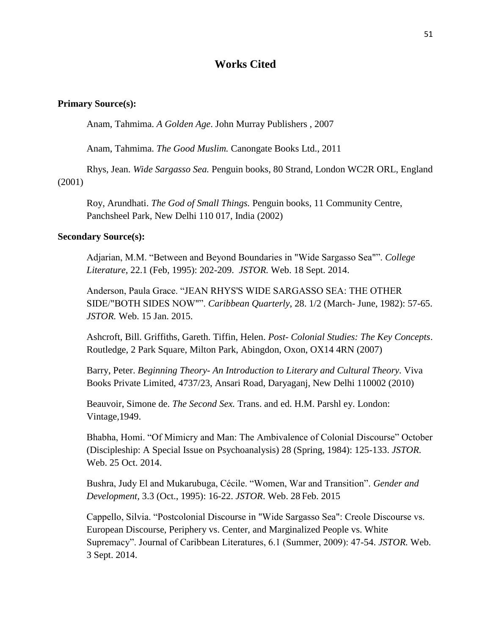#### **Works Cited**

#### **Primary Source(s):**

Anam, Tahmima. *A Golden Age*. John Murray Publishers , 2007

Anam, Tahmima. *The Good Muslim.* Canongate Books Ltd., 2011

Rhys, Jean. *Wide Sargasso Sea.* Penguin books, 80 Strand, London WC2R ORL, England (2001)

Roy, Arundhati. *The God of Small Things.* Penguin books, 11 Community Centre, Panchsheel Park, New Delhi 110 017, India (2002)

#### **Secondary Source(s):**

Adjarian, M.M. "Between and Beyond Boundaries in "Wide Sargasso Sea"". *College Literature*, 22.1 (Feb, 1995): 202-209. *JSTOR.* Web. 18 Sept. 2014.

Anderson, Paula Grace. "JEAN RHYS'S WIDE SARGASSO SEA: THE OTHER SIDE/"BOTH SIDES NOW"". *Caribbean Quarterly*, 28. 1/2 (March- June, 1982): 57-65. *JSTOR.* Web. 15 Jan. 2015.

Ashcroft, Bill. Griffiths, Gareth. Tiffin, Helen. *Post- Colonial Studies: The Key Concepts*. Routledge, 2 Park Square, Milton Park, Abingdon, Oxon, OX14 4RN (2007)

Barry, Peter. *Beginning Theory- An Introduction to Literary and Cultural Theory.* Viva Books Private Limited, 4737/23, Ansari Road, Daryaganj, New Delhi 110002 (2010)

Beauvoir, Simone de. *The Second Sex.* Trans. and ed. H.M. Parshl ey. London: Vintage,1949.

Bhabha, Homi. "Of Mimicry and Man: The Ambivalence of Colonial Discourse" October (Discipleship: A Special Issue on Psychoanalysis) 28 (Spring, 1984): 125-133. *JSTOR.*  Web. 25 Oct. 2014.

Bushra, Judy El and Mukarubuga, Cécile. "Women, War and Transition". *Gender and Development,* 3.3 (Oct., 1995): 16-22. *JSTOR*. Web. 28 Feb. 2015

Cappello, Silvia. ―Postcolonial Discourse in "Wide Sargasso Sea": Creole Discourse vs. European Discourse, Periphery vs. Center, and Marginalized People vs. White Supremacy". Journal of Caribbean Literatures, 6.1 (Summer, 2009): 47-54. *JSTOR*. Web. 3 Sept. 2014.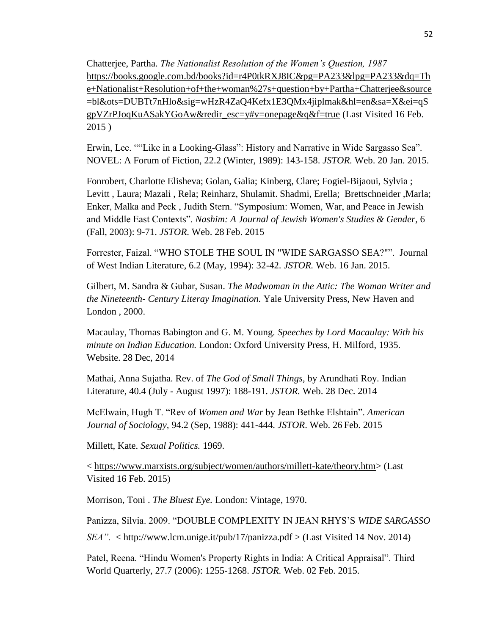Chatterjee, Partha. *The Nationalist Resolution of the Women's Question, 1987* [https://books.google.com.bd/books?id=r4P0tkRXJ8IC&pg=PA233&lpg=PA233&dq=Th](https://books.google.com.bd/books?id=r4P0tkRXJ8IC&pg=PA233&lpg=PA233&dq=The+Nationalist+Resolution+of+the+woman%27s+question+by+Partha+Chatterjee&source=bl&ots=DUBTt7nHlo&sig=wHzR4ZaQ4Kefx1E3QMx4jiplmak&hl=en&sa=X&ei=qSgpVZrPJoqKuASakYGoAw&redir_esc=y#v=onepage&q&f=true) [e+Nationalist+Resolution+of+the+woman%27s+question+by+Partha+Chatterjee&source](https://books.google.com.bd/books?id=r4P0tkRXJ8IC&pg=PA233&lpg=PA233&dq=The+Nationalist+Resolution+of+the+woman%27s+question+by+Partha+Chatterjee&source=bl&ots=DUBTt7nHlo&sig=wHzR4ZaQ4Kefx1E3QMx4jiplmak&hl=en&sa=X&ei=qSgpVZrPJoqKuASakYGoAw&redir_esc=y#v=onepage&q&f=true) [=bl&ots=DUBTt7nHlo&sig=wHzR4ZaQ4Kefx1E3QMx4jiplmak&hl=en&sa=X&ei=qS](https://books.google.com.bd/books?id=r4P0tkRXJ8IC&pg=PA233&lpg=PA233&dq=The+Nationalist+Resolution+of+the+woman%27s+question+by+Partha+Chatterjee&source=bl&ots=DUBTt7nHlo&sig=wHzR4ZaQ4Kefx1E3QMx4jiplmak&hl=en&sa=X&ei=qSgpVZrPJoqKuASakYGoAw&redir_esc=y#v=onepage&q&f=true) [gpVZrPJoqKuASakYGoAw&redir\\_esc=y#v=onepage&q&f=true](https://books.google.com.bd/books?id=r4P0tkRXJ8IC&pg=PA233&lpg=PA233&dq=The+Nationalist+Resolution+of+the+woman%27s+question+by+Partha+Chatterjee&source=bl&ots=DUBTt7nHlo&sig=wHzR4ZaQ4Kefx1E3QMx4jiplmak&hl=en&sa=X&ei=qSgpVZrPJoqKuASakYGoAw&redir_esc=y#v=onepage&q&f=true) (Last Visited 16 Feb. 2015 )

Erwin, Lee. ""Like in a Looking-Glass": History and Narrative in Wide Sargasso Sea". NOVEL: A Forum of Fiction, 22.2 (Winter, 1989): 143-158. *JSTOR.* Web. 20 Jan. 2015.

Fonrobert, Charlotte Elisheva; Golan, Galia; Kinberg, Clare; Fogiel-Bijaoui, Sylvia ; Levitt , Laura; Mazali , Rela; Reinharz, Shulamit. Shadmi, Erella; Brettschneider ,Marla; Enker, Malka and Peck, Judith Stern. "Symposium: Women, War, and Peace in Jewish and Middle East Contexts". *Nashim: A Journal of Jewish Women's Studies & Gender*, 6 (Fall, 2003): 9-71. *JSTOR*. Web. 28 Feb. 2015

Forrester, Faizal. "WHO STOLE THE SOUL IN "WIDE SARGASSO SEA?"". Journal of West Indian Literature, 6.2 (May, 1994): 32-42. *JSTOR.* Web. 16 Jan. 2015.

Gilbert, M. Sandra & Gubar, Susan. *The Madwoman in the Attic: The Woman Writer and the Nineteenth- Century Literay Imagination.* Yale University Press, New Haven and London , 2000.

Macaulay, Thomas Babington and G. M. Young. *Speeches by Lord Macaulay: With his minute on Indian Education.* London: Oxford University Press, H. Milford, 1935. Website. 28 Dec, 2014

Mathai, Anna Sujatha. Rev. of *The God of Small Things,* by Arundhati Roy. Indian Literature, 40.4 (July - August 1997): 188-191. *JSTOR.* Web. 28 Dec. 2014

McElwain, Hugh T. "Rev of *Women and War* by Jean Bethke Elshtain". *American Journal of Sociology,* 94.2 (Sep, 1988): 441-444. *JSTOR*. Web. 26 Feb. 2015

Millett, Kate. *Sexual Politics.* 1969.

< [https://www.marxists.org/subject/women/authors/millett-kate/theory.htm>](https://www.marxists.org/subject/women/authors/millett-kate/theory.htm) (Last Visited 16 Feb. 2015)

Morrison, Toni . *The Bluest Eye.* London: Vintage, 1970.

Panizza, Silvia. 2009. "DOUBLE COMPLEXITY IN JEAN RHYS'S *WIDE SARGASSO* 

*SEA".* < http://www.lcm.unige.it/pub/17/panizza.pdf > (Last Visited 14 Nov. 2014)

Patel, Reena. "Hindu Women's Property Rights in India: A Critical Appraisal". Third World Quarterly, 27.7 (2006): 1255-1268. *JSTOR.* Web. 02 Feb. 2015.